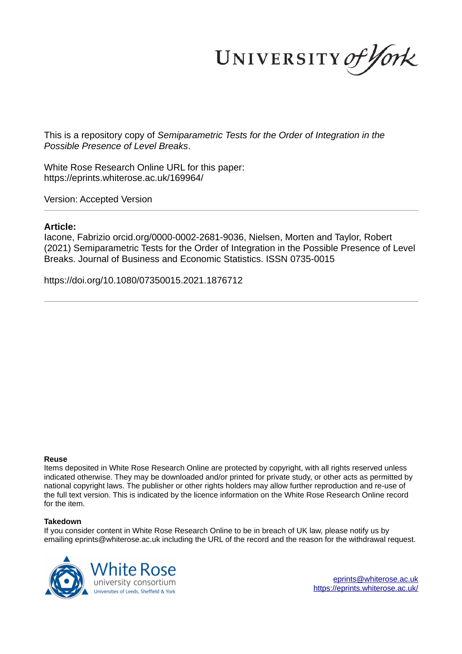UNIVERSITY of York

This is a repository copy of *Semiparametric Tests for the Order of Integration in the Possible Presence of Level Breaks*.

White Rose Research Online URL for this paper: https://eprints.whiterose.ac.uk/169964/

Version: Accepted Version

### **Article:**

Iacone, Fabrizio orcid.org/0000-0002-2681-9036, Nielsen, Morten and Taylor, Robert (2021) Semiparametric Tests for the Order of Integration in the Possible Presence of Level Breaks. Journal of Business and Economic Statistics. ISSN 0735-0015

https://doi.org/10.1080/07350015.2021.1876712

#### **Reuse**

Items deposited in White Rose Research Online are protected by copyright, with all rights reserved unless indicated otherwise. They may be downloaded and/or printed for private study, or other acts as permitted by national copyright laws. The publisher or other rights holders may allow further reproduction and re-use of the full text version. This is indicated by the licence information on the White Rose Research Online record for the item.

#### **Takedown**

If you consider content in White Rose Research Online to be in breach of UK law, please notify us by emailing eprints@whiterose.ac.uk including the URL of the record and the reason for the withdrawal request.



eprints@whiterose.ac.uk https://eprints.whiterose.ac.uk/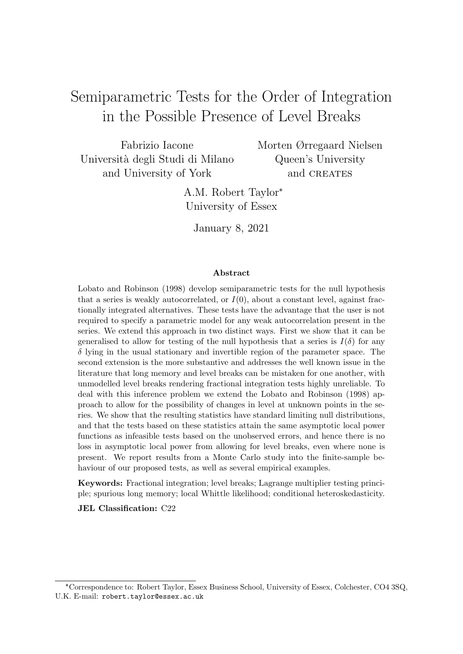# Semiparametric Tests for the Order of Integration in the Possible Presence of Level Breaks

Fabrizio Iacone Universit`a degli Studi di Milano and University of York

Morten Ørregaard Nielsen Queen's University and CREATES

A.M. Robert Taylor\* University of Essex

January 8, 2021

#### Abstract

Lobato and Robinson (1998) develop semiparametric tests for the null hypothesis that a series is weakly autocorrelated, or  $I(0)$ , about a constant level, against fractionally integrated alternatives. These tests have the advantage that the user is not required to specify a parametric model for any weak autocorrelation present in the series. We extend this approach in two distinct ways. First we show that it can be generalised to allow for testing of the null hypothesis that a series is  $I(\delta)$  for any  $\delta$  lying in the usual stationary and invertible region of the parameter space. The second extension is the more substantive and addresses the well known issue in the literature that long memory and level breaks can be mistaken for one another, with unmodelled level breaks rendering fractional integration tests highly unreliable. To deal with this inference problem we extend the Lobato and Robinson (1998) approach to allow for the possibility of changes in level at unknown points in the series. We show that the resulting statistics have standard limiting null distributions, and that the tests based on these statistics attain the same asymptotic local power functions as infeasible tests based on the unobserved errors, and hence there is no loss in asymptotic local power from allowing for level breaks, even where none is present. We report results from a Monte Carlo study into the finite-sample behaviour of our proposed tests, as well as several empirical examples.

Keywords: Fractional integration; level breaks; Lagrange multiplier testing principle; spurious long memory; local Whittle likelihood; conditional heteroskedasticity.

JEL Classification: C22

<sup>✯</sup>Correspondence to: Robert Taylor, Essex Business School, University of Essex, Colchester, CO4 3SQ, U.K. E-mail: robert.taylor@essex.ac.uk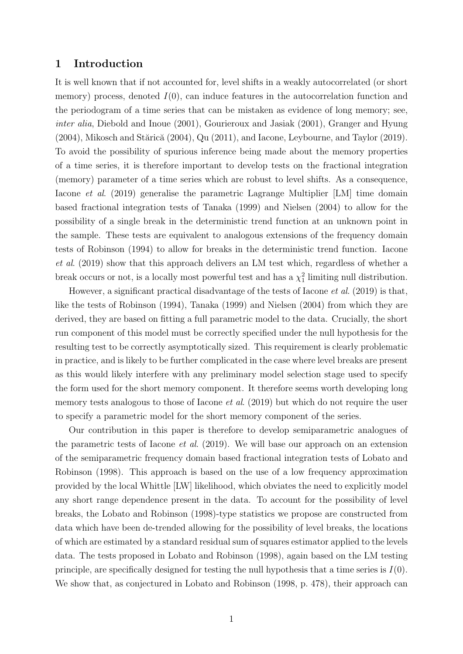### 1 Introduction

It is well known that if not accounted for, level shifts in a weakly autocorrelated (or short memory) process, denoted  $I(0)$ , can induce features in the autocorrelation function and the periodogram of a time series that can be mistaken as evidence of long memory; see, inter alia, Diebold and Inoue (2001), Gourieroux and Jasiak (2001), Granger and Hyung  $(2004)$ , Mikosch and Stărică  $(2004)$ , Qu $(2011)$ , and Iacone, Leybourne, and Taylor  $(2019)$ . To avoid the possibility of spurious inference being made about the memory properties of a time series, it is therefore important to develop tests on the fractional integration (memory) parameter of a time series which are robust to level shifts. As a consequence, Iacone et al. (2019) generalise the parametric Lagrange Multiplier [LM] time domain based fractional integration tests of Tanaka (1999) and Nielsen (2004) to allow for the possibility of a single break in the deterministic trend function at an unknown point in the sample. These tests are equivalent to analogous extensions of the frequency domain tests of Robinson (1994) to allow for breaks in the deterministic trend function. Iacone et al. (2019) show that this approach delivers an LM test which, regardless of whether a break occurs or not, is a locally most powerful test and has a  $\chi_1^2$  limiting null distribution.

However, a significant practical disadvantage of the tests of Iacone et al. (2019) is that, like the tests of Robinson (1994), Tanaka (1999) and Nielsen (2004) from which they are derived, they are based on fitting a full parametric model to the data. Crucially, the short run component of this model must be correctly specified under the null hypothesis for the resulting test to be correctly asymptotically sized. This requirement is clearly problematic in practice, and is likely to be further complicated in the case where level breaks are present as this would likely interfere with any preliminary model selection stage used to specify the form used for the short memory component. It therefore seems worth developing long memory tests analogous to those of Iacone *et al.* (2019) but which do not require the user to specify a parametric model for the short memory component of the series.

Our contribution in this paper is therefore to develop semiparametric analogues of the parametric tests of Iacone et al. (2019). We will base our approach on an extension of the semiparametric frequency domain based fractional integration tests of Lobato and Robinson (1998). This approach is based on the use of a low frequency approximation provided by the local Whittle [LW] likelihood, which obviates the need to explicitly model any short range dependence present in the data. To account for the possibility of level breaks, the Lobato and Robinson (1998)-type statistics we propose are constructed from data which have been de-trended allowing for the possibility of level breaks, the locations of which are estimated by a standard residual sum of squares estimator applied to the levels data. The tests proposed in Lobato and Robinson (1998), again based on the LM testing principle, are specifically designed for testing the null hypothesis that a time series is  $I(0)$ . We show that, as conjectured in Lobato and Robinson (1998, p. 478), their approach can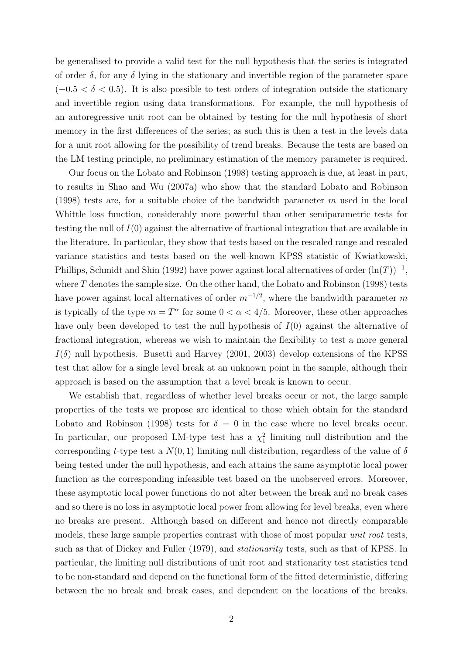be generalised to provide a valid test for the null hypothesis that the series is integrated of order  $\delta$ , for any  $\delta$  lying in the stationary and invertible region of the parameter space  $(-0.5 < \delta < 0.5)$ . It is also possible to test orders of integration outside the stationary and invertible region using data transformations. For example, the null hypothesis of an autoregressive unit root can be obtained by testing for the null hypothesis of short memory in the first differences of the series; as such this is then a test in the levels data for a unit root allowing for the possibility of trend breaks. Because the tests are based on the LM testing principle, no preliminary estimation of the memory parameter is required.

Our focus on the Lobato and Robinson (1998) testing approach is due, at least in part, to results in Shao and Wu (2007a) who show that the standard Lobato and Robinson (1998) tests are, for a suitable choice of the bandwidth parameter  $m$  used in the local Whittle loss function, considerably more powerful than other semiparametric tests for testing the null of  $I(0)$  against the alternative of fractional integration that are available in the literature. In particular, they show that tests based on the rescaled range and rescaled variance statistics and tests based on the well-known KPSS statistic of Kwiatkowski, Phillips, Schmidt and Shin (1992) have power against local alternatives of order  $(\ln(T))^{-1}$ , where  $T$  denotes the sample size. On the other hand, the Lobato and Robinson (1998) tests have power against local alternatives of order  $m^{-1/2}$ , where the bandwidth parameter m is typically of the type  $m = T^{\alpha}$  for some  $0 < \alpha < 4/5$ . Moreover, these other approaches have only been developed to test the null hypothesis of  $I(0)$  against the alternative of fractional integration, whereas we wish to maintain the flexibility to test a more general  $I(\delta)$  null hypothesis. Busetti and Harvey (2001, 2003) develop extensions of the KPSS test that allow for a single level break at an unknown point in the sample, although their approach is based on the assumption that a level break is known to occur.

We establish that, regardless of whether level breaks occur or not, the large sample properties of the tests we propose are identical to those which obtain for the standard Lobato and Robinson (1998) tests for  $\delta = 0$  in the case where no level breaks occur. In particular, our proposed LM-type test has a  $\chi^2$  limiting null distribution and the corresponding t-type test a  $N(0, 1)$  limiting null distribution, regardless of the value of  $\delta$ being tested under the null hypothesis, and each attains the same asymptotic local power function as the corresponding infeasible test based on the unobserved errors. Moreover, these asymptotic local power functions do not alter between the break and no break cases and so there is no loss in asymptotic local power from allowing for level breaks, even where no breaks are present. Although based on different and hence not directly comparable models, these large sample properties contrast with those of most popular *unit root* tests, such as that of Dickey and Fuller (1979), and stationarity tests, such as that of KPSS. In particular, the limiting null distributions of unit root and stationarity test statistics tend to be non-standard and depend on the functional form of the fitted deterministic, differing between the no break and break cases, and dependent on the locations of the breaks.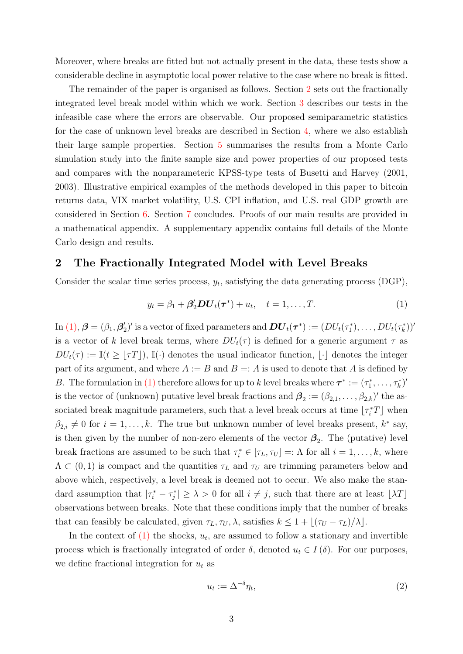Moreover, where breaks are fitted but not actually present in the data, these tests show a considerable decline in asymptotic local power relative to the case where no break is fitted.

The remainder of the paper is organised as follows. Section 2 sets out the fractionally integrated level break model within which we work. Section 3 describes our tests in the infeasible case where the errors are observable. Our proposed semiparametric statistics for the case of unknown level breaks are described in Section 4, where we also establish their large sample properties. Section 5 summarises the results from a Monte Carlo simulation study into the finite sample size and power properties of our proposed tests and compares with the nonparameteric KPSS-type tests of Busetti and Harvey (2001, 2003). Illustrative empirical examples of the methods developed in this paper to bitcoin returns data, VIX market volatility, U.S. CPI inflation, and U.S. real GDP growth are considered in Section 6. Section 7 concludes. Proofs of our main results are provided in a mathematical appendix. A supplementary appendix contains full details of the Monte Carlo design and results.

### 2 The Fractionally Integrated Model with Level Breaks

Consider the scalar time series process,  $y_t$ , satisfying the data generating process (DGP),

$$
y_t = \beta_1 + \beta_2' DU_t(\tau^*) + u_t, \quad t = 1, \dots, T.
$$
 (1)

 $\text{In (1), } \bm{\beta}=(\beta_1, \bm{\beta}'_2)'$  is a vector of fixed parameters and  $\bm{DU}_t(\bm{\tau}^*):=(DU_t(\tau_1^*),\ldots,DU_t(\tau_k^*))'$ is a vector of k level break terms, where  $DU_{t}(\tau)$  is defined for a generic argument  $\tau$  as  $DU_t(\tau) := \mathbb{I}(t \geq |\tau T|), \mathbb{I}(\cdot)$  denotes the usual indicator function,  $|\cdot|$  denotes the integer part of its argument, and where  $A := B$  and  $B = A$  is used to denote that A is defined by B. The formulation in (1) therefore allows for up to k level breaks where  $\tau^* := (\tau_1^*, \ldots, \tau_k^*)'$ is the vector of (unknown) putative level break fractions and  $\mathbf{\beta}_2 := (\beta_{2,1}, \ldots, \beta_{2,k})'$  the associated break magnitude parameters, such that a level break occurs at time  $\lfloor \tau_i^* T \rfloor$  when  $\beta_{2,i} \neq 0$  for  $i = 1, \ldots, k$ . The true but unknown number of level breaks present,  $k^*$  say, is then given by the number of non-zero elements of the vector  $\beta_2$ . The (putative) level break fractions are assumed to be such that  $\tau_i^* \in [\tau_L, \tau_U] =: \Lambda$  for all  $i = 1, \ldots, k$ , where  $\Lambda \subset (0,1)$  is compact and the quantities  $\tau_L$  and  $\tau_U$  are trimming parameters below and above which, respectively, a level break is deemed not to occur. We also make the standard assumption that  $|\tau_i^* - \tau_j^*| \geq \lambda > 0$  for all  $i \neq j$ , such that there are at least  $\lfloor \lambda T \rfloor$ observations between breaks. Note that these conditions imply that the number of breaks that can feasibly be calculated, given  $\tau_L, \tau_U, \lambda$ , satisfies  $k \leq 1 + |(\tau_U - \tau_L)/\lambda|$ .

In the context of  $(1)$  the shocks,  $u_t$ , are assumed to follow a stationary and invertible process which is fractionally integrated of order  $\delta$ , denoted  $u_t \in I(\delta)$ . For our purposes, we define fractional integration for  $u_t$  as

$$
u_t := \Delta^{-\delta} \eta_t,\tag{2}
$$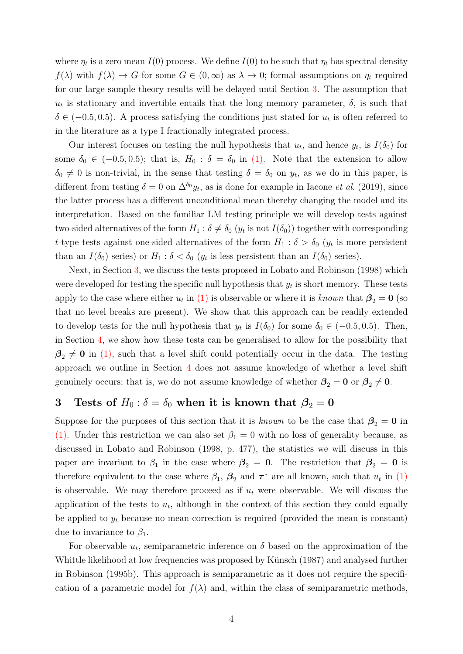where  $\eta_t$  is a zero mean  $I(0)$  process. We define  $I(0)$  to be such that  $\eta_t$  has spectral density  $f(\lambda)$  with  $f(\lambda) \to G$  for some  $G \in (0,\infty)$  as  $\lambda \to 0$ ; formal assumptions on  $\eta_t$  required for our large sample theory results will be delayed until Section 3. The assumption that  $u_t$  is stationary and invertible entails that the long memory parameter,  $\delta$ , is such that  $\delta \in (-0.5, 0.5)$ . A process satisfying the conditions just stated for  $u_t$  is often referred to in the literature as a type I fractionally integrated process.

Our interest focuses on testing the null hypothesis that  $u_t$ , and hence  $y_t$ , is  $I(\delta_0)$  for some  $\delta_0 \in (-0.5, 0.5)$ ; that is,  $H_0 : \delta = \delta_0$  in (1). Note that the extension to allow  $\delta_0 \neq 0$  is non-trivial, in the sense that testing  $\delta = \delta_0$  on  $y_t$ , as we do in this paper, is different from testing  $\delta = 0$  on  $\Delta^{\delta_0} y_t$ , as is done for example in Iacone *et al.* (2019), since the latter process has a different unconditional mean thereby changing the model and its interpretation. Based on the familiar LM testing principle we will develop tests against two-sided alternatives of the form  $H_1: \delta \neq \delta_0$   $(y_t$  is not  $I(\delta_0))$  together with corresponding t-type tests against one-sided alternatives of the form  $H_1$ :  $\delta > \delta_0$  ( $y_t$  is more persistent than an  $I(\delta_0)$  series) or  $H_1: \delta < \delta_0$  ( $y_t$  is less persistent than an  $I(\delta_0)$  series).

Next, in Section 3, we discuss the tests proposed in Lobato and Robinson (1998) which were developed for testing the specific null hypothesis that  $y_t$  is short memory. These tests apply to the case where either  $u_t$  in (1) is observable or where it is known that  $\beta_2 = 0$  (so that no level breaks are present). We show that this approach can be readily extended to develop tests for the null hypothesis that  $y_t$  is  $I(\delta_0)$  for some  $\delta_0 \in (-0.5, 0.5)$ . Then, in Section 4, we show how these tests can be generalised to allow for the possibility that  $\beta_2 \neq 0$  in (1), such that a level shift could potentially occur in the data. The testing approach we outline in Section 4 does not assume knowledge of whether a level shift genuinely occurs; that is, we do not assume knowledge of whether  $\beta_2 = 0$  or  $\beta_2 \neq 0$ .

# 3 Tests of  $H_0: \delta = \delta_0$  when it is known that  $\beta_2 = 0$

Suppose for the purposes of this section that it is known to be the case that  $\beta_2 = 0$  in (1). Under this restriction we can also set  $\beta_1 = 0$  with no loss of generality because, as discussed in Lobato and Robinson (1998, p. 477), the statistics we will discuss in this paper are invariant to  $\beta_1$  in the case where  $\beta_2 = 0$ . The restriction that  $\beta_2 = 0$  is therefore equivalent to the case where  $\beta_1$ ,  $\beta_2$  and  $\tau^*$  are all known, such that  $u_t$  in (1) is observable. We may therefore proceed as if  $u_t$  were observable. We will discuss the application of the tests to  $u_t$ , although in the context of this section they could equally be applied to  $y_t$  because no mean-correction is required (provided the mean is constant) due to invariance to  $\beta_1$ .

For observable  $u_t$ , semiparametric inference on  $\delta$  based on the approximation of the Whittle likelihood at low frequencies was proposed by Künsch (1987) and analysed further in Robinson (1995b). This approach is semiparametric as it does not require the specification of a parametric model for  $f(\lambda)$  and, within the class of semiparametric methods,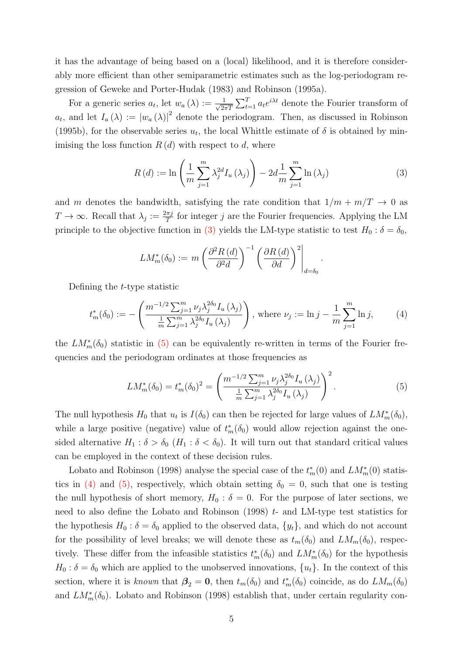it has the advantage of being based on a (local) likelihood, and it is therefore considerably more efficient than other semiparametric estimates such as the log-periodogram regression of Geweke and Porter-Hudak (1983) and Robinson (1995a).

For a generic series  $a_t$ , let  $w_a(\lambda) := \frac{1}{\sqrt{2\pi}}$  $\frac{1}{2\pi T} \sum_{t=1}^{T} a_t e^{i\lambda t}$  denote the Fourier transform of  $a_t$ , and let  $I_a(\lambda) := |w_a(\lambda)|^2$  denote the periodogram. Then, as discussed in Robinson (1995b), for the observable series  $u_t$ , the local Whittle estimate of  $\delta$  is obtained by minimising the loss function  $R(d)$  with respect to d, where

$$
R(d) := \ln\left(\frac{1}{m}\sum_{j=1}^{m} \lambda_j^{2d} I_u(\lambda_j)\right) - 2d\frac{1}{m}\sum_{j=1}^{m} \ln(\lambda_j)
$$
 (3)

.

and m denotes the bandwidth, satisfying the rate condition that  $1/m + m/T \rightarrow 0$  as  $T \to \infty$ . Recall that  $\lambda_j := \frac{2\pi j}{T}$  $\frac{\pi j}{T}$  for integer j are the Fourier frequencies. Applying the LM principle to the objective function in (3) yields the LM-type statistic to test  $H_0$ :  $\delta = \delta_0$ ,

$$
LM_m^*(\delta_0) := m \left( \frac{\partial^2 R(d)}{\partial^2 d} \right)^{-1} \left( \frac{\partial R(d)}{\partial d} \right)^2 \Big|_{d = \delta_0}
$$

Defining the t-type statistic

$$
t_m^*(\delta_0) := -\left(\frac{m^{-1/2} \sum_{j=1}^m \nu_j \lambda_j^{2\delta_0} I_u(\lambda_j)}{\frac{1}{m} \sum_{j=1}^m \lambda_j^{2\delta_0} I_u(\lambda_j)}\right), \text{ where } \nu_j := \ln j - \frac{1}{m} \sum_{j=1}^m \ln j,\tag{4}
$$

the  $LM_m^*(\delta_0)$  statistic in (5) can be equivalently re-written in terms of the Fourier frequencies and the periodogram ordinates at those frequencies as

$$
LM_m^*(\delta_0) = t_m^*(\delta_0)^2 = \left(\frac{m^{-1/2}\sum_{j=1}^m \nu_j \lambda_j^{2\delta_0} I_u(\lambda_j)}{\frac{1}{m}\sum_{j=1}^m \lambda_j^{2\delta_0} I_u(\lambda_j)}\right)^2.
$$
 (5)

The null hypothesis  $H_0$  that  $u_t$  is  $I(\delta_0)$  can then be rejected for large values of  $LM_m^*(\delta_0)$ , while a large positive (negative) value of  $t_m^*(\delta_0)$  would allow rejection against the onesided alternative  $H_1 : \delta > \delta_0$  ( $H_1 : \delta < \delta_0$ ). It will turn out that standard critical values can be employed in the context of these decision rules.

Lobato and Robinson (1998) analyse the special case of the  $t_m^*(0)$  and  $LM_m^*(0)$  statistics in (4) and (5), respectively, which obtain setting  $\delta_0 = 0$ , such that one is testing the null hypothesis of short memory,  $H_0$ :  $\delta = 0$ . For the purpose of later sections, we need to also define the Lobato and Robinson  $(1998)$  t- and LM-type test statistics for the hypothesis  $H_0$ :  $\delta = \delta_0$  applied to the observed data,  $\{y_t\}$ , and which do not account for the possibility of level breaks; we will denote these as  $t_m(\delta_0)$  and  $LM_m(\delta_0)$ , respectively. These differ from the infeasible statistics  $t_m^*(\delta_0)$  and  $LM_m^*(\delta_0)$  for the hypothesis  $H_0$ :  $\delta = \delta_0$  which are applied to the unobserved innovations,  $\{u_t\}$ . In the context of this section, where it is known that  $\beta_2 = 0$ , then  $t_m(\delta_0)$  and  $t_m^*(\delta_0)$  coincide, as do  $LM_m(\delta_0)$ and  $LM_m^*(\delta_0)$ . Lobato and Robinson (1998) establish that, under certain regularity con-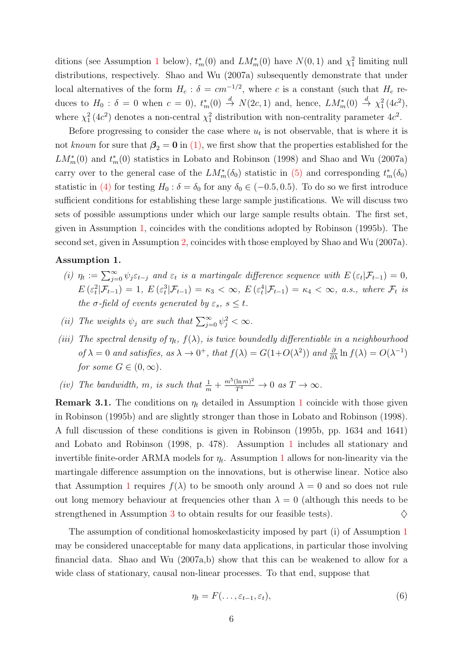ditions (see Assumption 1 below),  $t_m^*(0)$  and  $LM_m^*(0)$  have  $N(0, 1)$  and  $\chi_1^2$  limiting null distributions, respectively. Shao and Wu (2007a) subsequently demonstrate that under local alternatives of the form  $H_c$ :  $\delta = cm^{-1/2}$ , where c is a constant (such that  $H_c$  reduces to  $H_0: \delta = 0$  when  $c = 0$ ,  $t_m^*(0) \stackrel{d}{\to} N(2c, 1)$  and, hence,  $LM_m^*(0) \stackrel{d}{\to} \chi_1^2(4c^2)$ , where  $\chi_1^2(4c^2)$  denotes a non-central  $\chi_1^2$  distribution with non-centrality parameter  $4c^2$ .

Before progressing to consider the case where  $u_t$  is not observable, that is where it is not known for sure that  $\beta_2 = 0$  in (1), we first show that the properties established for the  $LM_m^*(0)$  and  $t_m^*(0)$  statistics in Lobato and Robinson (1998) and Shao and Wu (2007a) carry over to the general case of the  $LM_m^*(\delta_0)$  statistic in (5) and corresponding  $t_m^*(\delta_0)$ statistic in (4) for testing  $H_0$ :  $\delta = \delta_0$  for any  $\delta_0 \in (-0.5, 0.5)$ . To do so we first introduce sufficient conditions for establishing these large sample justifications. We will discuss two sets of possible assumptions under which our large sample results obtain. The first set, given in Assumption 1, coincides with the conditions adopted by Robinson (1995b). The second set, given in Assumption 2, coincides with those employed by Shao and Wu (2007a).

#### Assumption 1.

- (i)  $\eta_t := \sum_{j=0}^{\infty} \psi_j \varepsilon_{t-j}$  and  $\varepsilon_t$  is a martingale difference sequence with  $E(\varepsilon_t | \mathcal{F}_{t-1}) = 0$ ,  $E\left(\varepsilon_t^2|\mathcal{F}_{t-1}\right)=1, E\left(\varepsilon_t^3|\mathcal{F}_{t-1}\right)=\kappa_3 < \infty, E\left(\varepsilon_t^4|\mathcal{F}_{t-1}\right)=\kappa_4 < \infty, \text{ a.s., where } \mathcal{F}_t \text{ is }$ the  $\sigma$ -field of events generated by  $\varepsilon_s$ ,  $s \leq t$ .
- (ii) The weights  $\psi_j$  are such that  $\sum_{j=0}^{\infty} \psi_j^2 < \infty$ .
- (iii) The spectral density of  $\eta_t$ ,  $f(\lambda)$ , is twice boundedly differentiable in a neighbourhood of  $\lambda = 0$  and satisfies, as  $\lambda \to 0^+$ , that  $f(\lambda) = G(1+O(\lambda^2))$  and  $\frac{\partial}{\partial \lambda} \ln f(\lambda) = O(\lambda^{-1})$ for some  $G \in (0, \infty)$ .
- (iv) The bandwidth, m, is such that  $\frac{1}{m} + \frac{m^5(\ln m)^2}{T^4} \to 0$  as  $T \to \infty$ .

**Remark 3.1.** The conditions on  $\eta_t$  detailed in Assumption 1 coincide with those given in Robinson (1995b) and are slightly stronger than those in Lobato and Robinson (1998). A full discussion of these conditions is given in Robinson (1995b, pp. 1634 and 1641) and Lobato and Robinson (1998, p. 478). Assumption 1 includes all stationary and invertible finite-order ARMA models for  $\eta_t$ . Assumption 1 allows for non-linearity via the martingale difference assumption on the innovations, but is otherwise linear. Notice also that Assumption 1 requires  $f(\lambda)$  to be smooth only around  $\lambda = 0$  and so does not rule out long memory behaviour at frequencies other than  $\lambda = 0$  (although this needs to be strengthened in Assumption 3 to obtain results for our feasible tests).  $\diamondsuit$ 

The assumption of conditional homoskedasticity imposed by part (i) of Assumption 1 may be considered unacceptable for many data applications, in particular those involving financial data. Shao and Wu  $(2007a,b)$  show that this can be weakened to allow for a wide class of stationary, causal non-linear processes. To that end, suppose that

$$
\eta_t = F(\ldots, \varepsilon_{t-1}, \varepsilon_t), \tag{6}
$$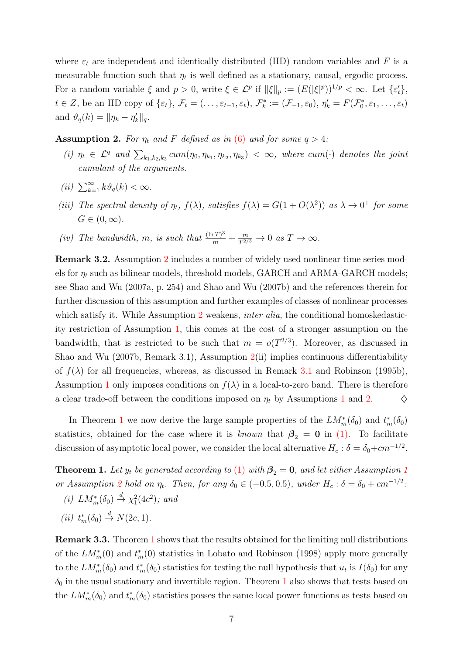where  $\varepsilon_t$  are independent and identically distributed (IID) random variables and F is a measurable function such that  $\eta_t$  is well defined as a stationary, causal, ergodic process. For a random variable  $\xi$  and  $p > 0$ , write  $\xi \in \mathcal{L}^p$  if  $\|\xi\|_p := (E(|\xi|^p))^{1/p} < \infty$ . Let  $\{\varepsilon'_t\}$ ,  $t \in \mathbb{Z}$ , be an IID copy of  $\{\varepsilon_t\}$ ,  $\mathcal{F}_t = (\ldots, \varepsilon_{t-1}, \varepsilon_t)$ ,  $\mathcal{F}_k^* := (\mathcal{F}_{-1}, \varepsilon_0)$ ,  $\eta'_k = F(\mathcal{F}_0^*, \varepsilon_1, \ldots, \varepsilon_t)$ and  $\vartheta_q(k) = \|\eta_k - \eta'_k\|_q$ .

**Assumption 2.** For  $\eta_t$  and F defined as in (6) and for some  $q > 4$ :

- (i)  $\eta_t \in \mathcal{L}^q$  and  $\sum_{k_1,k_2,k_3} cum(\eta_0, \eta_{k_1}, \eta_{k_2}, \eta_{k_3}) < \infty$ , where cum(·) denotes the joint cumulant of the arguments.
- (ii)  $\sum_{k=1}^{\infty} k \vartheta_q(k) < \infty$ .
- (iii) The spectral density of  $\eta_t$ ,  $f(\lambda)$ , satisfies  $f(\lambda) = G(1 + O(\lambda^2))$  as  $\lambda \to 0^+$  for some  $G\in(0,\infty).$
- (iv) The bandwidth, m, is such that  $\frac{(\ln T)^3}{m} + \frac{m}{T^{2/3}} \to 0$  as  $T \to \infty$ .

Remark 3.2. Assumption 2 includes a number of widely used nonlinear time series models for  $\eta_t$  such as bilinear models, threshold models, GARCH and ARMA-GARCH models; see Shao and Wu (2007a, p. 254) and Shao and Wu (2007b) and the references therein for further discussion of this assumption and further examples of classes of nonlinear processes which satisfy it. While Assumption 2 weakens, *inter alia*, the conditional homoskedasticity restriction of Assumption 1, this comes at the cost of a stronger assumption on the bandwidth, that is restricted to be such that  $m = o(T^{2/3})$ . Moreover, as discussed in Shao and Wu (2007b, Remark 3.1), Assumption 2(ii) implies continuous differentiability of  $f(\lambda)$  for all frequencies, whereas, as discussed in Remark 3.1 and Robinson (1995b), Assumption 1 only imposes conditions on  $f(\lambda)$  in a local-to-zero band. There is therefore a clear trade-off between the conditions imposed on  $\eta_t$  by Assumptions 1 and 2.  $\Diamond$ 

In Theorem 1 we now derive the large sample properties of the  $LM_m^*(\delta_0)$  and  $t_m^*(\delta_0)$ statistics, obtained for the case where it is known that  $\beta_2 = 0$  in (1). To facilitate discussion of asymptotic local power, we consider the local alternative  $H_c$ :  $\delta = \delta_0 + cm^{-1/2}$ .

**Theorem 1.** Let  $y_t$  be generated according to (1) with  $\beta_2 = 0$ , and let either Assumption 1 or Assumption 2 hold on  $\eta_t$ . Then, for any  $\delta_0 \in (-0.5, 0.5)$ , under  $H_c : \delta = \delta_0 + cm^{-1/2}$ . (i)  $LM_m^*(\delta_0) \stackrel{d}{\rightarrow} \chi_1^2(4c^2)$ ; and

(*ii*)  $t_m^*(\delta_0) \stackrel{d}{\rightarrow} N(2c, 1)$ .

Remark 3.3. Theorem 1 shows that the results obtained for the limiting null distributions of the  $LM_m^*(0)$  and  $t_m^*(0)$  statistics in Lobato and Robinson (1998) apply more generally to the  $LM_m^*(\delta_0)$  and  $t_m^*(\delta_0)$  statistics for testing the null hypothesis that  $u_t$  is  $I(\delta_0)$  for any  $\delta_0$  in the usual stationary and invertible region. Theorem 1 also shows that tests based on the  $LM_m^*(\delta_0)$  and  $t_m^*(\delta_0)$  statistics posses the same local power functions as tests based on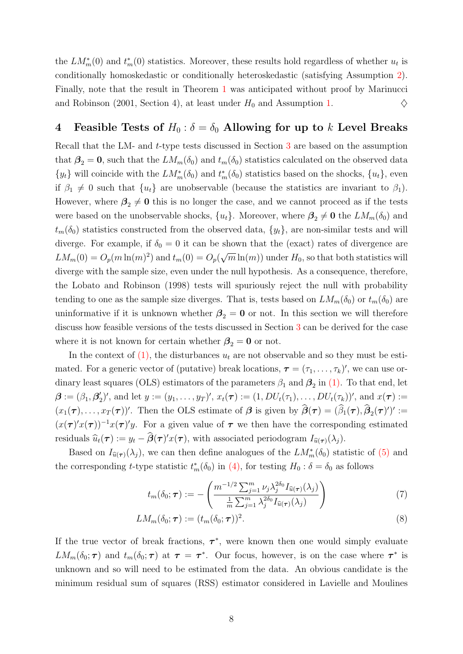the  $LM_m^*(0)$  and  $t_m^*(0)$  statistics. Moreover, these results hold regardless of whether  $u_t$  is conditionally homoskedastic or conditionally heteroskedastic (satisfying Assumption 2). Finally, note that the result in Theorem 1 was anticipated without proof by Marinucci and Robinson (2001, Section 4), at least under  $H_0$  and Assumption 1.  $\diamondsuit$ 

# 4 Feasible Tests of  $H_0: \delta = \delta_0$  Allowing for up to k Level Breaks

Recall that the LM- and t-type tests discussed in Section 3 are based on the assumption that  $\beta_2 = 0$ , such that the  $LM_m(\delta_0)$  and  $t_m(\delta_0)$  statistics calculated on the observed data  $\{y_t\}$  will coincide with the  $LM_m^*(\delta_0)$  and  $t_m^*(\delta_0)$  statistics based on the shocks,  $\{u_t\}$ , even if  $\beta_1 \neq 0$  such that  $\{u_t\}$  are unobservable (because the statistics are invariant to  $\beta_1$ ). However, where  $\beta_2 \neq 0$  this is no longer the case, and we cannot proceed as if the tests were based on the unobservable shocks,  $\{u_t\}$ . Moreover, where  $\beta_2 \neq 0$  the  $LM_m(\delta_0)$  and  $t_m(\delta_0)$  statistics constructed from the observed data,  $\{y_t\}$ , are non-similar tests and will diverge. For example, if  $\delta_0 = 0$  it can be shown that the (exact) rates of divergence are  $LM_m(0) = O_p(m \ln(m)^2)$  and  $t_m(0) = O_p(\sqrt{m} \ln(m))$  under  $H_0$ , so that both statistics will diverge with the sample size, even under the null hypothesis. As a consequence, therefore, the Lobato and Robinson (1998) tests will spuriously reject the null with probability tending to one as the sample size diverges. That is, tests based on  $LM_m(\delta_0)$  or  $t_m(\delta_0)$  are uninformative if it is unknown whether  $\beta_2 = 0$  or not. In this section we will therefore discuss how feasible versions of the tests discussed in Section 3 can be derived for the case where it is not known for certain whether  $\beta_2 = 0$  or not.

In the context of  $(1)$ , the disturbances  $u_t$  are not observable and so they must be estimated. For a generic vector of (putative) break locations,  $\boldsymbol{\tau} = (\tau_1, \dots, \tau_k)'$ , we can use ordinary least squares (OLS) estimators of the parameters  $\beta_1$  and  $\beta_2$  in (1). To that end, let  $\boldsymbol{\beta} := (\beta_1, \beta_2')'$ , and let  $y := (y_1, \ldots, y_T)'$ ,  $x_t(\boldsymbol{\tau}) := (1, DU_t(\tau_1), \ldots, DU_t(\tau_k))'$ , and  $x(\boldsymbol{\tau}) :=$  $(x_1(\tau),...,x_T(\tau))'$ . Then the OLS estimate of  $\beta$  is given by  $\beta(\tau) = (\beta_1(\tau),\beta_2(\tau)')' :=$  $(x(\tau)'x(\tau))^{-1}x(\tau)'y$ . For a given value of  $\tau$  we then have the corresponding estimated residuals  $\widehat{u}_t(\tau) := y_t - \beta(\tau)' x(\tau)$ , with associated periodogram  $I_{\widehat{u}(\tau)}(\lambda_j)$ .

Based on  $I_{\hat{u}(\tau)}(\lambda_j)$ , we can then define analogues of the  $LM_m^*(\delta_0)$  statistic of (5) and the corresponding *t*-type statistic  $t_m^*(\delta_0)$  in (4), for testing  $H_0: \delta = \delta_0$  as follows

$$
t_m(\delta_0; \boldsymbol{\tau}) := -\left(\frac{m^{-1/2} \sum_{j=1}^m \nu_j \lambda_j^{2\delta_0} I_{\widehat{u}(\boldsymbol{\tau})}(\lambda_j)}{\frac{1}{m} \sum_{j=1}^m \lambda_j^{2\delta_0} I_{\widehat{u}(\boldsymbol{\tau})}(\lambda_j)}\right) \tag{7}
$$

$$
LM_m(\delta_0; \boldsymbol{\tau}) := (t_m(\delta_0; \boldsymbol{\tau}))^2. \tag{8}
$$

If the true vector of break fractions,  $\tau^*$ , were known then one would simply evaluate  $LM_m(\delta_0; \tau)$  and  $t_m(\delta_0; \tau)$  at  $\tau = \tau^*$ . Our focus, however, is on the case where  $\tau^*$  is unknown and so will need to be estimated from the data. An obvious candidate is the minimum residual sum of squares (RSS) estimator considered in Lavielle and Moulines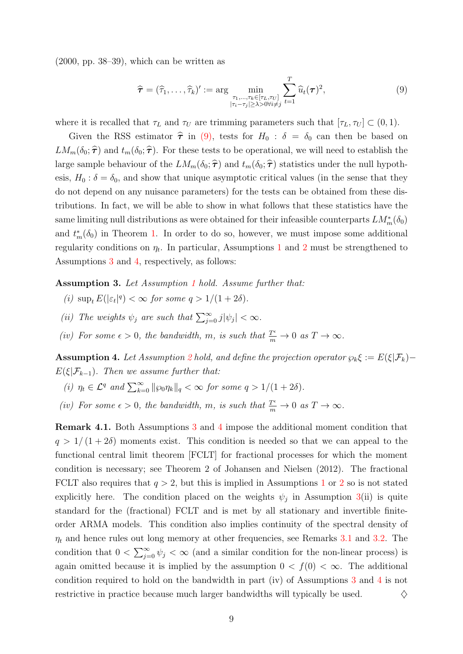$(2000, \text{ pp. } 38-39)$ , which can be written as

$$
\widehat{\boldsymbol{\tau}} = (\widehat{\tau}_1, \dots, \widehat{\tau}_k)' := \arg \min_{\substack{\tau_1, \dots, \tau_k \in [\tau_L, \tau_U] \\ |\tau_i - \tau_j| \ge \lambda > 0 \forall i \neq j}} \sum_{t=1}^T \widehat{u}_t(\boldsymbol{\tau})^2,
$$
\n(9)

where it is recalled that  $\tau_L$  and  $\tau_U$  are trimming parameters such that  $[\tau_L, \tau_U] \subset (0, 1)$ .

Given the RSS estimator  $\hat{\tau}$  in (9), tests for  $H_0 : \delta = \delta_0$  can then be based on  $LM_m(\delta_0; \hat{\tau})$  and  $t_m(\delta_0; \hat{\tau})$ . For these tests to be operational, we will need to establish the large sample behaviour of the  $LM_m(\delta_0; \hat{\tau})$  and  $t_m(\delta_0; \hat{\tau})$  statistics under the null hypothesis,  $H_0: \delta = \delta_0$ , and show that unique asymptotic critical values (in the sense that they do not depend on any nuisance parameters) for the tests can be obtained from these distributions. In fact, we will be able to show in what follows that these statistics have the same limiting null distributions as were obtained for their infeasible counterparts  $LM^*_m(\delta_0)$ and  $t_m^*(\delta_0)$  in Theorem 1. In order to do so, however, we must impose some additional regularity conditions on  $\eta_t$ . In particular, Assumptions 1 and 2 must be strengthened to Assumptions 3 and 4, respectively, as follows:

Assumption 3. Let Assumption 1 hold. Assume further that:

- (i)  $\sup_t E(|\varepsilon_t|^q) < \infty$  for some  $q > 1/(1 + 2\delta)$ .
- (ii) The weights  $\psi_j$  are such that  $\sum_{j=0}^{\infty} j |\psi_j| < \infty$ .
- (iv) For some  $\epsilon > 0$ , the bandwidth, m, is such that  $\frac{T^{\epsilon}}{m} \to 0$  as  $T \to \infty$ .

**Assumption 4.** Let Assumption 2 hold, and define the projection operator  $\wp_k \xi := E(\xi | \mathcal{F}_k)$  $E(\xi|\mathcal{F}_{k-1})$ . Then we assume further that:

(i)  $\eta_t \in \mathcal{L}^q$  and  $\sum_{k=0}^{\infty} ||\wp_0 \eta_k||_q < \infty$  for some  $q > 1/(1+2\delta)$ .

(iv) For some  $\epsilon > 0$ , the bandwidth, m, is such that  $\frac{T^{\epsilon}}{m} \to 0$  as  $T \to \infty$ .

Remark 4.1. Both Assumptions 3 and 4 impose the additional moment condition that  $q > 1/(1+2\delta)$  moments exist. This condition is needed so that we can appeal to the functional central limit theorem [FCLT] for fractional processes for which the moment condition is necessary; see Theorem 2 of Johansen and Nielsen (2012). The fractional FCLT also requires that  $q > 2$ , but this is implied in Assumptions 1 or 2 so is not stated explicitly here. The condition placed on the weights  $\psi_j$  in Assumption 3(ii) is quite standard for the (fractional) FCLT and is met by all stationary and invertible finiteorder ARMA models. This condition also implies continuity of the spectral density of  $\eta_t$  and hence rules out long memory at other frequencies, see Remarks 3.1 and 3.2. The condition that  $0 < \sum_{j=0}^{\infty} \psi_j < \infty$  (and a similar condition for the non-linear process) is again omitted because it is implied by the assumption  $0 < f(0) < \infty$ . The additional condition required to hold on the bandwidth in part (iv) of Assumptions 3 and 4 is not restrictive in practice because much larger bandwidths will typically be used.  $\Diamond$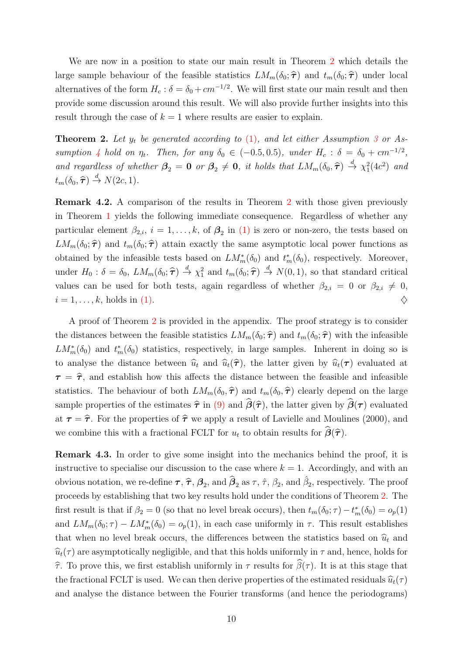We are now in a position to state our main result in Theorem 2 which details the large sample behaviour of the feasible statistics  $LM_m(\delta_0; \hat{\tau})$  and  $t_m(\delta_0; \hat{\tau})$  under local alternatives of the form  $H_c$ :  $\delta = \delta_0 + cm^{-1/2}$ . We will first state our main result and then provide some discussion around this result. We will also provide further insights into this result through the case of  $k = 1$  where results are easier to explain.

**Theorem 2.** Let  $y_t$  be generated according to  $(1)$ , and let either Assumption 3 or Assumption 4 hold on  $\eta_t$ . Then, for any  $\delta_0 \in (-0.5, 0.5)$ , under  $H_c$ :  $\delta = \delta_0 + cm^{-1/2}$ , and regardless of whether  $\beta_2 = 0$  or  $\beta_2 \neq 0$ , it holds that  $LM_m(\delta_0, \hat{\tau}) \stackrel{d}{\rightarrow} \chi_1^2(4c^2)$  and  $t_m(\delta_0, \widehat{\boldsymbol{\tau}}) \stackrel{d}{\rightarrow} N(2c, 1).$ 

Remark 4.2. A comparison of the results in Theorem 2 with those given previously in Theorem 1 yields the following immediate consequence. Regardless of whether any particular element  $\beta_{2,i}$ ,  $i=1,\ldots,k$ , of  $\boldsymbol{\beta}_2$  in (1) is zero or non-zero, the tests based on  $LM_m(\delta_0; \hat{\tau})$  and  $t_m(\delta_0; \hat{\tau})$  attain exactly the same asymptotic local power functions as obtained by the infeasible tests based on  $LM_m^*(\delta_0)$  and  $t_m^*(\delta_0)$ , respectively. Moreover, under  $H_0: \delta = \delta_0$ ,  $LM_m(\delta_0; \hat{\tau}) \stackrel{d}{\rightarrow} \chi_1^2$  and  $t_m(\delta_0; \hat{\tau}) \stackrel{d}{\rightarrow} N(0, 1)$ , so that standard critical values can be used for both tests, again regardless of whether  $\beta_{2,i} = 0$  or  $\beta_{2,i} \neq 0$ ,  $i = 1, \ldots, k$ , holds in (1).

A proof of Theorem 2 is provided in the appendix. The proof strategy is to consider the distances between the feasible statistics  $LM_m(\delta_0; \hat{\tau})$  and  $t_m(\delta_0; \hat{\tau})$  with the infeasible  $LM_m^*(\delta_0)$  and  $t_m^*(\delta_0)$  statistics, respectively, in large samples. Inherent in doing so is to analyse the distance between  $\hat{u}_t$  and  $\hat{u}_t(\hat{\tau})$ , the latter given by  $\hat{u}_t(\tau)$  evaluated at  $\tau = \hat{\tau}$ , and establish how this affects the distance between the feasible and infeasible statistics. The behaviour of both  $LM_m(\delta_0, \hat{\tau})$  and  $t_m(\delta_0, \hat{\tau})$  clearly depend on the large sample properties of the estimates  $\hat{\tau}$  in (9) and  $\hat{\beta}(\hat{\tau})$ , the latter given by  $\hat{\beta}(\tau)$  evaluated at  $\tau = \hat{\tau}$ . For the properties of  $\hat{\tau}$  we apply a result of Lavielle and Moulines (2000), and we combine this with a fractional FCLT for  $u_t$  to obtain results for  $\beta(\hat{\tau})$ .

Remark 4.3. In order to give some insight into the mechanics behind the proof, it is instructive to specialise our discussion to the case where  $k = 1$ . Accordingly, and with an obvious notation, we re-define  $\tau$ ,  $\hat{\tau}$ ,  $\beta_2$ , and  $\hat{\beta}_2$  as  $\tau$ ,  $\hat{\tau}$ ,  $\beta_2$ , and  $\hat{\beta}_2$ , respectively. The proof proceeds by establishing that two key results hold under the conditions of Theorem 2. The first result is that if  $\beta_2 = 0$  (so that no level break occurs), then  $t_m(\delta_0; \tau) - t_m^*(\delta_0) = o_p(1)$ and  $LM_m(\delta_0; \tau) - LM_m^*(\delta_0) = o_p(1)$ , in each case uniformly in  $\tau$ . This result establishes that when no level break occurs, the differences between the statistics based on  $\hat{u}_t$  and  $\hat{u}_t(\tau)$  are asymptotically negligible, and that this holds uniformly in  $\tau$  and, hence, holds for  $\hat{\tau}$ . To prove this, we first establish uniformly in  $\tau$  results for  $\hat{\beta}(\tau)$ . It is at this stage that the fractional FCLT is used. We can then derive properties of the estimated residuals  $\hat{u}_t(\tau)$ and analyse the distance between the Fourier transforms (and hence the periodograms)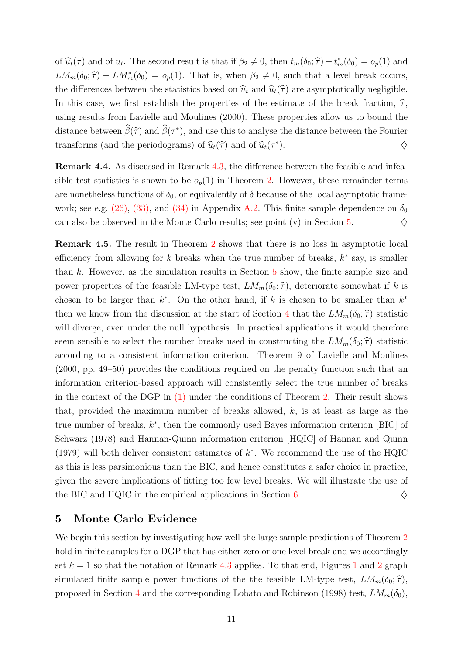of  $\widehat{u}_t(\tau)$  and of  $u_t$ . The second result is that if  $\beta_2 \neq 0$ , then  $t_m(\delta_0; \widehat{\tau}) - t_m^*(\delta_0) = o_p(1)$  and  $LM_m(\delta_0; \hat{\tau}) - LM_m^*(\delta_0) = o_p(1)$ . That is, when  $\beta_2 \neq 0$ , such that a level break occurs, the differences between the statistics based on  $\hat{u}_t$  and  $\hat{u}_t(\hat{\tau})$  are asymptotically negligible. In this case, we first establish the properties of the estimate of the break fraction,  $\hat{\tau}$ , using results from Lavielle and Moulines (2000). These properties allow us to bound the distance between  $\beta(\hat{\tau})$  and  $\beta(\tau^*)$ , and use this to analyse the distance between the Fourier transforms (and the periodograms) of  $\widehat{u}_t(\widehat{\tau})$  and of  $\widehat{u}_t(\tau^*)$ ).  $\diamondsuit$ 

Remark 4.4. As discussed in Remark 4.3, the difference between the feasible and infeasible test statistics is shown to be  $o_p(1)$  in Theorem 2. However, these remainder terms are nonetheless functions of  $\delta_0$ , or equivalently of  $\delta$  because of the local asymptotic framework; see e.g. (26), (33), and (34) in Appendix A.2. This finite sample dependence on  $\delta_0$ can also be observed in the Monte Carlo results; see point (v) in Section 5.  $\diamond$ 

Remark 4.5. The result in Theorem 2 shows that there is no loss in asymptotic local efficiency from allowing for k breaks when the true number of breaks,  $k^*$  say, is smaller than k. However, as the simulation results in Section  $5$  show, the finite sample size and power properties of the feasible LM-type test,  $LM_m(\delta_0; \hat{\tau})$ , deteriorate somewhat if k is chosen to be larger than  $k^*$ . On the other hand, if k is chosen to be smaller than  $k^*$ then we know from the discussion at the start of Section 4 that the  $LM_m(\delta_0; \hat{\tau})$  statistic will diverge, even under the null hypothesis. In practical applications it would therefore seem sensible to select the number breaks used in constructing the  $LM_m(\delta_0; \hat{\tau})$  statistic according to a consistent information criterion. Theorem 9 of Lavielle and Moulines (2000, pp. 49–50) provides the conditions required on the penalty function such that an information criterion-based approach will consistently select the true number of breaks in the context of the DGP in  $(1)$  under the conditions of Theorem 2. Their result shows that, provided the maximum number of breaks allowed,  $k$ , is at least as large as the true number of breaks, k ∗ , then the commonly used Bayes information criterion [BIC] of Schwarz (1978) and Hannan-Quinn information criterion [HQIC] of Hannan and Quinn (1979) will both deliver consistent estimates of  $k^*$ . We recommend the use of the HQIC as this is less parsimonious than the BIC, and hence constitutes a safer choice in practice, given the severe implications of fitting too few level breaks. We will illustrate the use of the BIC and HQIC in the empirical applications in Section 6.  $\Diamond$ 

### 5 Monte Carlo Evidence

We begin this section by investigating how well the large sample predictions of Theorem 2 hold in finite samples for a DGP that has either zero or one level break and we accordingly set  $k = 1$  so that the notation of Remark 4.3 applies. To that end, Figures 1 and 2 graph simulated finite sample power functions of the the feasible LM-type test,  $LM_m(\delta_0; \hat{\tau}),$ proposed in Section 4 and the corresponding Lobato and Robinson (1998) test,  $LM_m(\delta_0)$ ,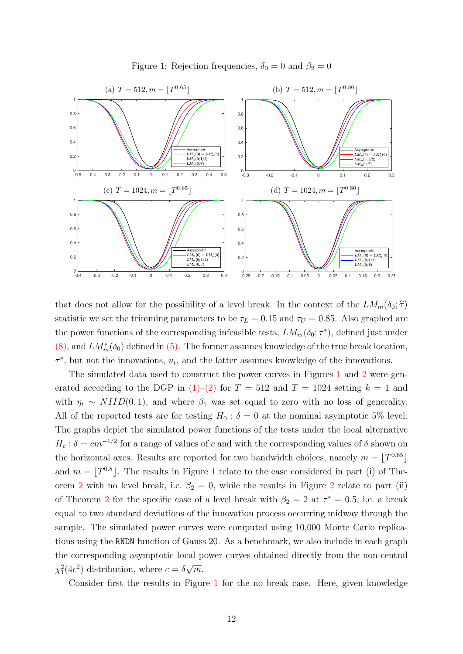

Figure 1: Rejection frequencies,  $\delta_0 = 0$  and  $\beta_2 = 0$ 

that does not allow for the possibility of a level break. In the context of the  $LM_m(\delta_0; \hat{\tau})$ statistic we set the trimming parameters to be  $\tau_L = 0.15$  and  $\tau_U = 0.85$ . Also graphed are the power functions of the corresponding infeasible tests,  $LM_m(\delta_0; \tau^*)$ , defined just under (8), and  $LM_m^*(\delta_0)$  defined in (5). The former assumes knowledge of the true break location,  $\tau^*$ , but not the innovations,  $u_t$ , and the latter assumes knowledge of the innovations.

The simulated data used to construct the power curves in Figures 1 and 2 were generated according to the DGP in  $(1)$ – $(2)$  for  $T = 512$  and  $T = 1024$  setting  $k = 1$  and with  $\eta_t \sim NIID(0, 1)$ , and where  $\beta_1$  was set equal to zero with no loss of generality. All of the reported tests are for testing  $H_0$ :  $\delta = 0$  at the nominal asymptotic 5% level. The graphs depict the simulated power functions of the tests under the local alternative  $H_c$ :  $\delta = cm^{-1/2}$  for a range of values of c and with the corresponding values of  $\delta$  shown on the horizontal axes. Results are reported for two bandwidth choices, namely  $m = \lfloor T^{0.65} \rfloor$ and  $m = \lfloor T^{0.8} \rfloor$ . The results in Figure 1 relate to the case considered in part (i) of Theorem 2 with no level break, i.e.  $\beta_2 = 0$ , while the results in Figure 2 relate to part (ii) of Theorem 2 for the specific case of a level break with  $\beta_2 = 2$  at  $\tau^* = 0.5$ , i.e. a break equal to two standard deviations of the innovation process occurring midway through the sample. The simulated power curves were computed using 10,000 Monte Carlo replications using the RNDN function of Gauss 20. As a benchmark, we also include in each graph the corresponding asymptotic local power curves obtained directly from the non-central  $\chi_1^2(4c^2)$  distribution, where  $c = \delta \sqrt{m}$ .

Consider first the results in Figure 1 for the no break case. Here, given knowledge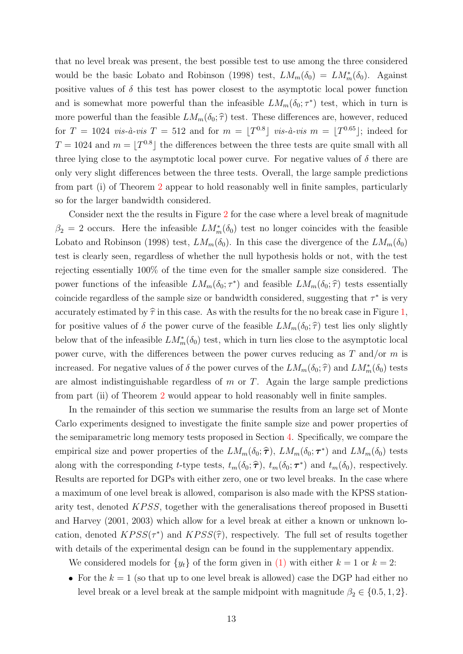that no level break was present, the best possible test to use among the three considered would be the basic Lobato and Robinson (1998) test,  $LM_m(\delta_0) = LM_m^*(\delta_0)$ . Against positive values of  $\delta$  this test has power closest to the asymptotic local power function and is somewhat more powerful than the infeasible  $LM_m(\delta_0; \tau^*)$  test, which in turn is more powerful than the feasible  $LM_m(\delta_0; \hat{\tau})$  test. These differences are, however, reduced for  $T = 1024$  vis-à-vis  $T = 512$  and for  $m = \lfloor T^{0.8} \rfloor$  vis-à-vis  $m = \lfloor T^{0.65} \rfloor$ ; indeed for  $T = 1024$  and  $m = \lfloor T^{0.8} \rfloor$  the differences between the three tests are quite small with all three lying close to the asymptotic local power curve. For negative values of  $\delta$  there are only very slight differences between the three tests. Overall, the large sample predictions from part (i) of Theorem 2 appear to hold reasonably well in finite samples, particularly so for the larger bandwidth considered.

Consider next the the results in Figure 2 for the case where a level break of magnitude  $\beta_2 = 2$  occurs. Here the infeasible  $LM_m^*(\delta_0)$  test no longer coincides with the feasible Lobato and Robinson (1998) test,  $LM_m(\delta_0)$ . In this case the divergence of the  $LM_m(\delta_0)$ test is clearly seen, regardless of whether the null hypothesis holds or not, with the test rejecting essentially 100% of the time even for the smaller sample size considered. The power functions of the infeasible  $LM_m(\delta_0; \tau^*)$  and feasible  $LM_m(\delta_0; \hat{\tau})$  tests essentially coincide regardless of the sample size or bandwidth considered, suggesting that  $\tau^*$  is very accurately estimated by  $\hat{\tau}$  in this case. As with the results for the no break case in Figure 1, for positive values of  $\delta$  the power curve of the feasible  $LM_m(\delta_0; \hat{\tau})$  test lies only slightly below that of the infeasible  $LM_m^*(\delta_0)$  test, which in turn lies close to the asymptotic local power curve, with the differences between the power curves reducing as  $T$  and/or  $m$  is increased. For negative values of  $\delta$  the power curves of the  $LM_m(\delta_0; \hat{\tau})$  and  $LM_m^*(\delta_0)$  tests are almost indistinguishable regardless of  $m$  or  $T$ . Again the large sample predictions from part (ii) of Theorem 2 would appear to hold reasonably well in finite samples.

In the remainder of this section we summarise the results from an large set of Monte Carlo experiments designed to investigate the finite sample size and power properties of the semiparametric long memory tests proposed in Section 4. Specifically, we compare the empirical size and power properties of the  $LM_m(\delta_0; \hat{\tau})$ ,  $LM_m(\delta_0; \tau^*)$  and  $LM_m(\delta_0)$  tests along with the corresponding t-type tests,  $t_m(\delta_0; \hat{\tau})$ ,  $t_m(\delta_0; \tau^*)$  and  $t_m(\delta_0)$ , respectively. Results are reported for DGPs with either zero, one or two level breaks. In the case where a maximum of one level break is allowed, comparison is also made with the KPSS stationarity test, denoted  $KPSS$ , together with the generalisations thereof proposed in Busetti and Harvey (2001, 2003) which allow for a level break at either a known or unknown location, denoted  $KPSS(\tau^*)$  and  $KPSS(\hat{\tau})$ , respectively. The full set of results together with details of the experimental design can be found in the supplementary appendix.

We considered models for  $\{y_t\}$  of the form given in (1) with either  $k = 1$  or  $k = 2$ :

• For the  $k = 1$  (so that up to one level break is allowed) case the DGP had either no level break or a level break at the sample midpoint with magnitude  $\beta_2 \in \{0.5, 1, 2\}.$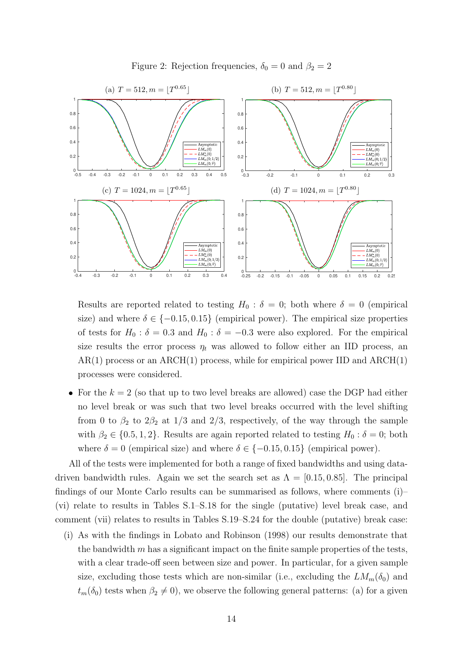

Figure 2: Rejection frequencies,  $\delta_0 = 0$  and  $\beta_2 = 2$ 

Results are reported related to testing  $H_0$ :  $\delta = 0$ ; both where  $\delta = 0$  (empirical size) and where  $\delta \in \{-0.15, 0.15\}$  (empirical power). The empirical size properties of tests for  $H_0$ :  $\delta = 0.3$  and  $H_0$ :  $\delta = -0.3$  were also explored. For the empirical size results the error process  $\eta_t$  was allowed to follow either an IID process, an  $AR(1)$  process or an  $ARCH(1)$  process, while for empirical power IID and  $ARCH(1)$ processes were considered.

• For the  $k = 2$  (so that up to two level breaks are allowed) case the DGP had either no level break or was such that two level breaks occurred with the level shifting from 0 to  $\beta_2$  to  $2\beta_2$  at  $1/3$  and  $2/3$ , respectively, of the way through the sample with  $\beta_2 \in \{0.5, 1, 2\}$ . Results are again reported related to testing  $H_0 : \delta = 0$ ; both where  $\delta = 0$  (empirical size) and where  $\delta \in \{-0.15, 0.15\}$  (empirical power).

All of the tests were implemented for both a range of fixed bandwidths and using datadriven bandwidth rules. Again we set the search set as  $\Lambda = [0.15, 0.85]$ . The principal findings of our Monte Carlo results can be summarised as follows, where comments (i)– (vi) relate to results in Tables S.1–S.18 for the single (putative) level break case, and comment (vii) relates to results in Tables S.19–S.24 for the double (putative) break case:

(i) As with the findings in Lobato and Robinson (1998) our results demonstrate that the bandwidth  $m$  has a significant impact on the finite sample properties of the tests, with a clear trade-off seen between size and power. In particular, for a given sample size, excluding those tests which are non-similar (i.e., excluding the  $LM_m(\delta_0)$  and  $t_m(\delta_0)$  tests when  $\beta_2 \neq 0$ , we observe the following general patterns: (a) for a given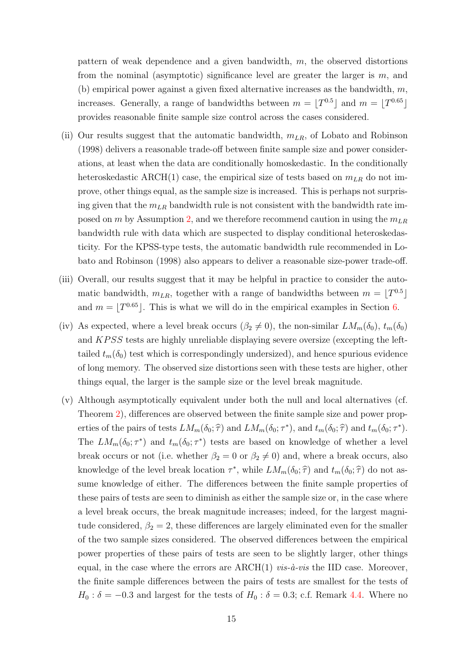pattern of weak dependence and a given bandwidth, m, the observed distortions from the nominal (asymptotic) significance level are greater the larger is m, and (b) empirical power against a given fixed alternative increases as the bandwidth,  $m$ , increases. Generally, a range of bandwidths between  $m = \lfloor T^{0.5} \rfloor$  and  $m = \lfloor T^{0.65} \rfloor$ provides reasonable finite sample size control across the cases considered.

- (ii) Our results suggest that the automatic bandwidth,  $m_{LR}$ , of Lobato and Robinson (1998) delivers a reasonable trade-off between finite sample size and power considerations, at least when the data are conditionally homoskedastic. In the conditionally heteroskedastic ARCH(1) case, the empirical size of tests based on  $m_{LR}$  do not improve, other things equal, as the sample size is increased. This is perhaps not surprising given that the  $m_{LR}$  bandwidth rule is not consistent with the bandwidth rate imposed on m by Assumption 2, and we therefore recommend caution in using the  $m_{LR}$ bandwidth rule with data which are suspected to display conditional heteroskedasticity. For the KPSS-type tests, the automatic bandwidth rule recommended in Lobato and Robinson (1998) also appears to deliver a reasonable size-power trade-off.
- (iii) Overall, our results suggest that it may be helpful in practice to consider the automatic bandwidth,  $m_{LR}$ , together with a range of bandwidths between  $m = \lfloor T^{0.5} \rfloor$ and  $m = \lfloor T^{0.65} \rfloor$ . This is what we will do in the empirical examples in Section 6.
- (iv) As expected, where a level break occurs  $(\beta_2 \neq 0)$ , the non-similar  $LM_m(\delta_0)$ ,  $t_m(\delta_0)$ and KPSS tests are highly unreliable displaying severe oversize (excepting the lefttailed  $t_m(\delta_0)$  test which is correspondingly undersized), and hence spurious evidence of long memory. The observed size distortions seen with these tests are higher, other things equal, the larger is the sample size or the level break magnitude.
- (v) Although asymptotically equivalent under both the null and local alternatives (cf. Theorem 2), differences are observed between the finite sample size and power properties of the pairs of tests  $LM_m(\delta_0; \hat{\tau})$  and  $LM_m(\delta_0; \tau^*)$ , and  $t_m(\delta_0; \hat{\tau})$  and  $t_m(\delta_0; \tau^*)$ . The  $LM_m(\delta_0; \tau^*)$  and  $t_m(\delta_0; \tau^*)$  tests are based on knowledge of whether a level break occurs or not (i.e. whether  $\beta_2 = 0$  or  $\beta_2 \neq 0$ ) and, where a break occurs, also knowledge of the level break location  $\tau^*$ , while  $LM_m(\delta_0; \hat{\tau})$  and  $t_m(\delta_0; \hat{\tau})$  do not assume knowledge of either. The differences between the finite sample properties of these pairs of tests are seen to diminish as either the sample size or, in the case where a level break occurs, the break magnitude increases; indeed, for the largest magnitude considered,  $\beta_2 = 2$ , these differences are largely eliminated even for the smaller of the two sample sizes considered. The observed differences between the empirical power properties of these pairs of tests are seen to be slightly larger, other things equal, in the case where the errors are  $\text{ARCH}(1)$  vis- $\dot{a}$ -vis the IID case. Moreover, the finite sample differences between the pairs of tests are smallest for the tests of  $H_0$ :  $\delta = -0.3$  and largest for the tests of  $H_0$ :  $\delta = 0.3$ ; c.f. Remark 4.4. Where no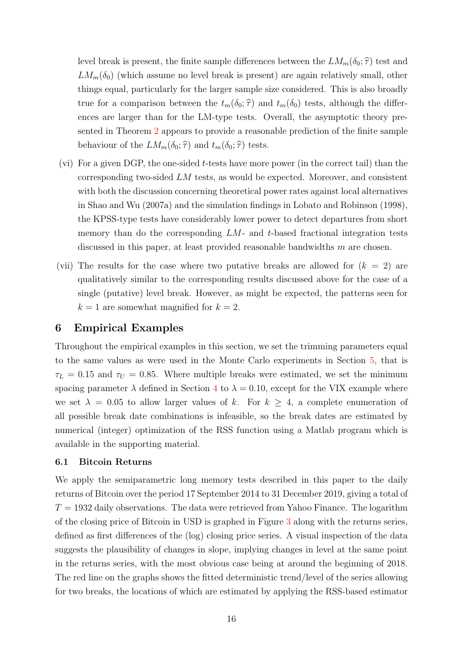level break is present, the finite sample differences between the  $LM_m(\delta_0; \hat{\tau})$  test and  $LM_m(\delta_0)$  (which assume no level break is present) are again relatively small, other things equal, particularly for the larger sample size considered. This is also broadly true for a comparison between the  $t_m(\delta_0; \hat{\tau})$  and  $t_m(\delta_0)$  tests, although the differences are larger than for the LM-type tests. Overall, the asymptotic theory presented in Theorem 2 appears to provide a reasonable prediction of the finite sample behaviour of the  $LM_m(\delta_0; \hat{\tau})$  and  $t_m(\delta_0; \hat{\tau})$  tests.

- (vi) For a given DGP, the one-sided t-tests have more power (in the correct tail) than the corresponding two-sided LM tests, as would be expected. Moreover, and consistent with both the discussion concerning theoretical power rates against local alternatives in Shao and Wu (2007a) and the simulation findings in Lobato and Robinson (1998), the KPSS-type tests have considerably lower power to detect departures from short memory than do the corresponding  $LM$ - and t-based fractional integration tests discussed in this paper, at least provided reasonable bandwidths m are chosen.
- (vii) The results for the case where two putative breaks are allowed for  $(k = 2)$  are qualitatively similar to the corresponding results discussed above for the case of a single (putative) level break. However, as might be expected, the patterns seen for  $k = 1$  are somewhat magnified for  $k = 2$ .

# 6 Empirical Examples

Throughout the empirical examples in this section, we set the trimming parameters equal to the same values as were used in the Monte Carlo experiments in Section 5, that is  $\tau_L = 0.15$  and  $\tau_U = 0.85$ . Where multiple breaks were estimated, we set the minimum spacing parameter  $\lambda$  defined in Section 4 to  $\lambda = 0.10$ , except for the VIX example where we set  $\lambda = 0.05$  to allow larger values of k. For  $k \geq 4$ , a complete enumeration of all possible break date combinations is infeasible, so the break dates are estimated by numerical (integer) optimization of the RSS function using a Matlab program which is available in the supporting material.

#### 6.1 Bitcoin Returns

We apply the semiparametric long memory tests described in this paper to the daily returns of Bitcoin over the period 17 September 2014 to 31 December 2019, giving a total of  $T = 1932$  daily observations. The data were retrieved from Yahoo Finance. The logarithm of the closing price of Bitcoin in USD is graphed in Figure 3 along with the returns series, defined as first differences of the (log) closing price series. A visual inspection of the data suggests the plausibility of changes in slope, implying changes in level at the same point in the returns series, with the most obvious case being at around the beginning of 2018. The red line on the graphs shows the fitted deterministic trend/level of the series allowing for two breaks, the locations of which are estimated by applying the RSS-based estimator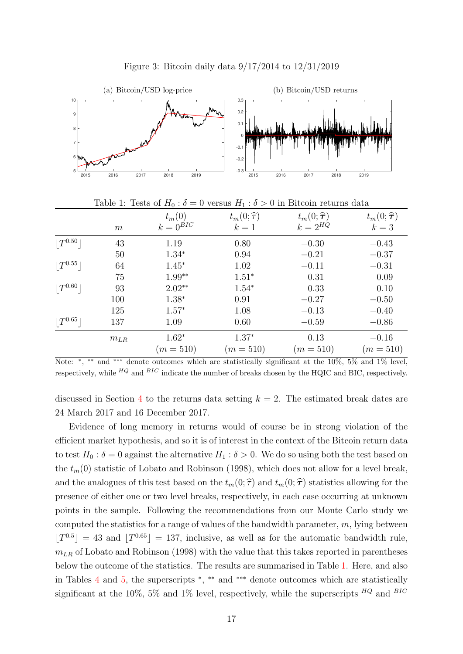

Figure 3: Bitcoin daily data 9/17/2014 to 12/31/2019

|              | m        | $t_m(0)$<br>$k=0^{\operatorname{BIC}}$ | $t_m(0;\hat{\tau})$<br>$k=1$ | $t_m(0;\hat{\boldsymbol{\tau}})$<br>$k=2^{HQ}$ | $t_m(0;\hat{\boldsymbol{\tau}})$<br>$k=3$ |
|--------------|----------|----------------------------------------|------------------------------|------------------------------------------------|-------------------------------------------|
| $ T^{0.50} $ | 43       | 1.19                                   | 0.80                         | $-0.30$                                        | $-0.43$                                   |
|              | 50       | $1.34*$                                | 0.94                         | $-0.21$                                        | $-0.37$                                   |
| $ T^{0.55} $ | 64       | $1.45*$                                | 1.02                         | $-0.11$                                        | $-0.31$                                   |
|              | 75       | $1.99**$                               | $1.51*$                      | 0.31                                           | 0.09                                      |
| $ T^{0.60} $ | 93       | $2.02**$                               | $1.54*$                      | 0.33                                           | 0.10                                      |
|              | 100      | $1.38*$                                | 0.91                         | $-0.27$                                        | $-0.50$                                   |
|              | 125      | $1.57*$                                | 1.08                         | $-0.13$                                        | $-0.40$                                   |
| $ T^{0.65} $ | 137      | 1.09                                   | 0.60                         | $-0.59$                                        | $-0.86$                                   |
|              | $m_{LR}$ | $1.62*$                                | $1.37*$                      | 0.13                                           | $-0.16$                                   |
|              |          | $(m = 510)$                            | $(m = 510)$                  | $(m = 510)$                                    | $(m = 510)$                               |

Table 1: Tests of  $H_0$ :  $\delta = 0$  versus  $H_1$ :  $\delta > 0$  in Bitcoin returns data

Note: <sup>\*</sup>, <sup>\*\*</sup> and <sup>\*\*\*</sup> denote outcomes which are statistically significant at the 10%, 5% and 1% level, respectively, while  $^{HQ}$  and  $^{BIC}$  indicate the number of breaks chosen by the HQIC and BIC, respectively.

discussed in Section 4 to the returns data setting  $k = 2$ . The estimated break dates are 24 March 2017 and 16 December 2017.

Evidence of long memory in returns would of course be in strong violation of the efficient market hypothesis, and so it is of interest in the context of the Bitcoin return data to test  $H_0$ :  $\delta = 0$  against the alternative  $H_1$ :  $\delta > 0$ . We do so using both the test based on the  $t_m(0)$  statistic of Lobato and Robinson (1998), which does not allow for a level break, and the analogues of this test based on the  $t_m(0; \hat{\tau})$  and  $t_m(0; \hat{\tau})$  statistics allowing for the presence of either one or two level breaks, respectively, in each case occurring at unknown points in the sample. Following the recommendations from our Monte Carlo study we computed the statistics for a range of values of the bandwidth parameter,  $m$ , lying between  $[T^{0.5}] = 43$  and  $[T^{0.65}] = 137$ , inclusive, as well as for the automatic bandwidth rule,  $m_{LR}$  of Lobato and Robinson (1998) with the value that this takes reported in parentheses below the outcome of the statistics. The results are summarised in Table 1. Here, and also in Tables 4 and 5, the superscripts <sup>∗</sup> , ∗∗ and ∗∗∗ denote outcomes which are statistically significant at the 10%, 5% and 1% level, respectively, while the superscripts  $^{HQ}$  and  $^{BIC}$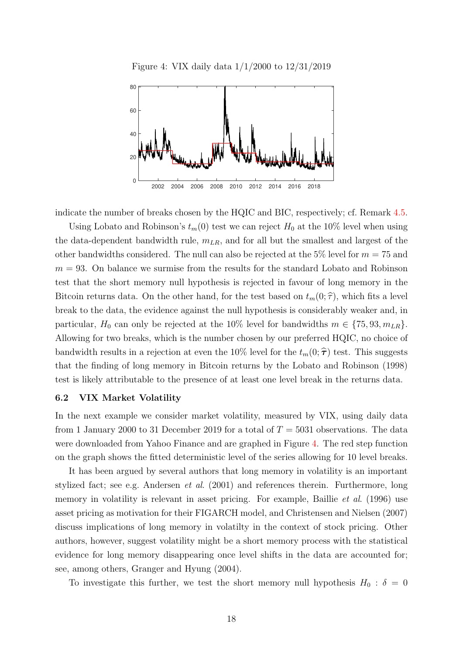Figure 4: VIX daily data 1/1/2000 to 12/31/2019



indicate the number of breaks chosen by the HQIC and BIC, respectively; cf. Remark 4.5.

Using Lobato and Robinson's  $t_m(0)$  test we can reject  $H_0$  at the 10% level when using the data-dependent bandwidth rule,  $m_{LR}$ , and for all but the smallest and largest of the other bandwidths considered. The null can also be rejected at the 5% level for  $m = 75$  and  $m = 93$ . On balance we surmise from the results for the standard Lobato and Robinson test that the short memory null hypothesis is rejected in favour of long memory in the Bitcoin returns data. On the other hand, for the test based on  $t_m(0; \hat{\tau})$ , which fits a level break to the data, the evidence against the null hypothesis is considerably weaker and, in particular,  $H_0$  can only be rejected at the 10% level for bandwidths  $m \in \{75, 93, m_{LR}\}.$ Allowing for two breaks, which is the number chosen by our preferred HQIC, no choice of bandwidth results in a rejection at even the 10% level for the  $t_m(0; \hat{\tau})$  test. This suggests that the finding of long memory in Bitcoin returns by the Lobato and Robinson (1998) test is likely attributable to the presence of at least one level break in the returns data.

#### 6.2 VIX Market Volatility

In the next example we consider market volatility, measured by VIX, using daily data from 1 January 2000 to 31 December 2019 for a total of  $T = 5031$  observations. The data were downloaded from Yahoo Finance and are graphed in Figure 4. The red step function on the graph shows the fitted deterministic level of the series allowing for 10 level breaks.

It has been argued by several authors that long memory in volatility is an important stylized fact; see e.g. Andersen et al. (2001) and references therein. Furthermore, long memory in volatility is relevant in asset pricing. For example, Baillie *et al.* (1996) use asset pricing as motivation for their FIGARCH model, and Christensen and Nielsen (2007) discuss implications of long memory in volatilty in the context of stock pricing. Other authors, however, suggest volatility might be a short memory process with the statistical evidence for long memory disappearing once level shifts in the data are accounted for; see, among others, Granger and Hyung (2004).

To investigate this further, we test the short memory null hypothesis  $H_0$ :  $\delta = 0$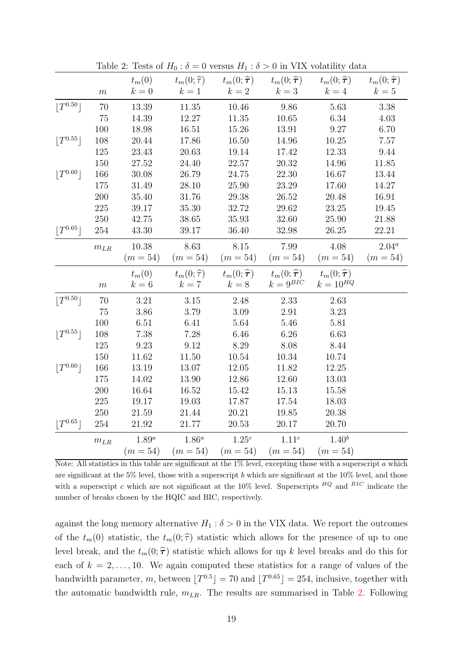|              |          | $t_m(0)$   | $t_m(0;\hat{\tau})$ | $t_m(0;\hat{\boldsymbol{\tau}})$           | $t_m(0;\hat{\boldsymbol{\tau}})$     | $t_m(0;\widehat{\boldsymbol{\tau}})$ | $t_m(0;\widehat{\boldsymbol{\tau}})$ |
|--------------|----------|------------|---------------------|--------------------------------------------|--------------------------------------|--------------------------------------|--------------------------------------|
|              | $\,m$    | $k=0$      | $k=1$               | $k=2$                                      | $k=3$                                | $k=4$                                | $k=5$                                |
| $ T^{0.50} $ | 70       | 13.39      | $11.35\,$           | 10.46                                      | 9.86                                 | 5.63                                 | 3.38                                 |
|              | $75\,$   | 14.39      | 12.27               | 11.35                                      | 10.65                                | 6.34                                 | 4.03                                 |
|              | 100      | 18.98      | 16.51               | 15.26                                      | 13.91                                | 9.27                                 | 6.70                                 |
| $ T^{0.55} $ | 108      | 20.44      | 17.86               | 16.50                                      | 14.96                                | 10.25                                | 7.57                                 |
|              | 125      | 23.43      | 20.63               | 19.14                                      | 17.42                                | 12.33                                | 9.44                                 |
|              | 150      | 27.52      | 24.40               | 22.57                                      | 20.32                                | 14.96                                | 11.85                                |
| $ T^{0.60} $ | 166      | 30.08      | 26.79               | 24.75                                      | 22.30                                | 16.67                                | 13.44                                |
|              | 175      | 31.49      | 28.10               | 25.90                                      | 23.29                                | 17.60                                | 14.27                                |
|              | 200      | 35.40      | 31.76               | 29.38                                      | 26.52                                | 20.48                                | 16.91                                |
|              | $225\,$  | 39.17      | 35.30               | 32.72                                      | 29.62                                | 23.25                                | 19.45                                |
|              | 250      | 42.75      | 38.65               | 35.93                                      | 32.60                                | 25.90                                | 21.88                                |
| $ T^{0.65} $ | 254      | 43.30      | 39.17               | 36.40                                      | 32.98                                | 26.25                                | 22.21                                |
|              | $m_{LR}$ | 10.38      | 8.63                | $8.15\,$                                   | 7.99                                 | 4.08                                 | $2.04^a$                             |
|              |          | $(m = 54)$ | $(m = 54)$          | $(m = 54)$                                 | $(m = 54)$                           | $(m = 54)$                           | $(m = 54)$                           |
|              |          |            |                     |                                            |                                      |                                      |                                      |
|              |          | $t_m(0)$   | $t_m(0;\hat{\tau})$ | $t_m(0;\widehat{\boldsymbol{\tau}})$       | $t_m(0;\widehat{\boldsymbol{\tau}})$ | $t_m(0;\hat{\boldsymbol{\tau}})$     |                                      |
|              | m        | $k=6$      | $k=7$               | $k=8$                                      | $k = 9^{BIC}$                        | $k = 10^{HQ}$                        |                                      |
| $ T^{0.50} $ | 70       | 3.21       | $3.15\,$            | 2.48                                       | 2.33                                 | 2.63                                 |                                      |
|              | 75       | 3.86       | 3.79                | 3.09                                       | 2.91                                 | 3.23                                 |                                      |
|              | 100      | 6.51       | 6.41                | 5.64                                       | 5.46                                 | 5.81                                 |                                      |
| $ T^{0.55} $ | 108      | 7.38       | 7.28                | 6.46                                       | 6.26                                 | 6.63                                 |                                      |
|              | 125      | 9.23       | 9.12                | 8.29                                       | 8.08                                 | 8.44                                 |                                      |
|              | 150      | 11.62      | 11.50               | 10.54                                      | 10.34                                | 10.74                                |                                      |
| $ T^{0.60} $ | 166      | 13.19      | 13.07               | 12.05                                      | 11.82                                | 12.25                                |                                      |
|              | 175      | 14.02      | 13.90               | 12.86                                      | 12.60                                | 13.03                                |                                      |
|              | 200      | 16.64      | 16.52               | 15.42                                      | 15.13                                | 15.58                                |                                      |
|              | 225      | 19.17      | 19.03               | 17.87                                      | 17.54                                | 18.03                                |                                      |
|              | 250      | 21.59      | 21.44               | 20.21                                      | 19.85                                | 20.38                                |                                      |
| $ T^{0.65} $ | 254      | 21.92      | 21.77               | 20.53                                      | 20.17                                | 20.70                                |                                      |
|              | $m_{LR}$ | $1.89^a$   | $1.86^a$            | 1.25 <sup>c</sup><br>$(m = 54)$ $(m = 54)$ | 1.11 <sup>c</sup><br>$(m = 54)$      | $1.40^{b}$<br>$(m = 54)$             |                                      |

Table 2: Tests of  $H_0$ :  $\delta = 0$  versus  $H_1$ :  $\delta > 0$  in VIX volatility data

Note: All statistics in this table are significant at the 1% level, excepting those with a superscript a which are significant at the 5% level, those with a superscript b which are significant at the  $10\%$  level, and those with a superscript c which are not significant at the 10% level. Superscripts  $^{HQ}$  and  $^{BIC}$  indicate the number of breaks chosen by the HQIC and BIC, respectively.

against the long memory alternative  $H_1 : \delta > 0$  in the VIX data. We report the outcomes of the  $t_m(0)$  statistic, the  $t_m(0; \hat{\tau})$  statistic which allows for the presence of up to one level break, and the  $t_m(0; \hat{\tau})$  statistic which allows for up k level breaks and do this for each of  $k = 2, \ldots, 10$ . We again computed these statistics for a range of values of the bandwidth parameter, m, between  $[T^{0.5}] = 70$  and  $[T^{0.65}] = 254$ , inclusive, together with the automatic bandwidth rule,  $m_{LR}$ . The results are summarised in Table 2. Following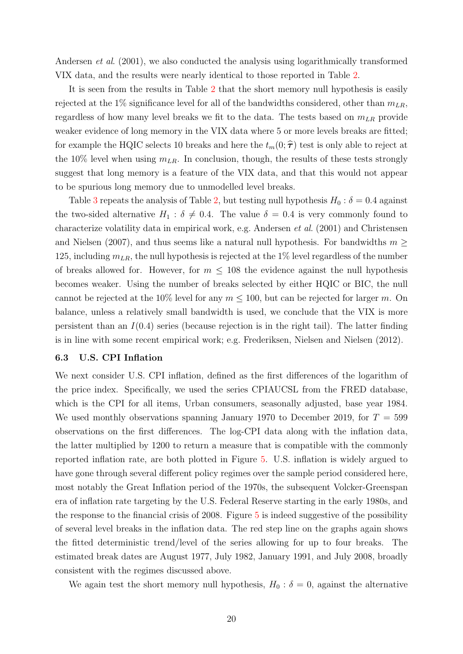Andersen *et al.* (2001), we also conducted the analysis using logarithmically transformed VIX data, and the results were nearly identical to those reported in Table 2.

It is seen from the results in Table 2 that the short memory null hypothesis is easily rejected at the 1% significance level for all of the bandwidths considered, other than  $m_{LR}$ , regardless of how many level breaks we fit to the data. The tests based on  $m_{LR}$  provide weaker evidence of long memory in the VIX data where 5 or more levels breaks are fitted; for example the HQIC selects 10 breaks and here the  $t_m(0; \hat{\tau})$  test is only able to reject at the 10% level when using  $m_{LR}$ . In conclusion, though, the results of these tests strongly suggest that long memory is a feature of the VIX data, and that this would not appear to be spurious long memory due to unmodelled level breaks.

Table 3 repeats the analysis of Table 2, but testing null hypothesis  $H_0$ :  $\delta = 0.4$  against the two-sided alternative  $H_1$ :  $\delta \neq 0.4$ . The value  $\delta = 0.4$  is very commonly found to characterize volatility data in empirical work, e.g. Andersen et al. (2001) and Christensen and Nielsen (2007), and thus seems like a natural null hypothesis. For bandwidths  $m \geq$ 125, including  $m_{LR}$ , the null hypothesis is rejected at the 1% level regardless of the number of breaks allowed for. However, for  $m \leq 108$  the evidence against the null hypothesis becomes weaker. Using the number of breaks selected by either HQIC or BIC, the null cannot be rejected at the 10% level for any  $m \leq 100$ , but can be rejected for larger m. On balance, unless a relatively small bandwidth is used, we conclude that the VIX is more persistent than an  $I(0.4)$  series (because rejection is in the right tail). The latter finding is in line with some recent empirical work; e.g. Frederiksen, Nielsen and Nielsen (2012).

### 6.3 U.S. CPI Inflation

We next consider U.S. CPI inflation, defined as the first differences of the logarithm of the price index. Specifically, we used the series CPIAUCSL from the FRED database, which is the CPI for all items, Urban consumers, seasonally adjusted, base year 1984. We used monthly observations spanning January 1970 to December 2019, for  $T = 599$ observations on the first differences. The log-CPI data along with the inflation data, the latter multiplied by 1200 to return a measure that is compatible with the commonly reported inflation rate, are both plotted in Figure 5. U.S. inflation is widely argued to have gone through several different policy regimes over the sample period considered here, most notably the Great Inflation period of the 1970s, the subsequent Volcker-Greenspan era of inflation rate targeting by the U.S. Federal Reserve starting in the early 1980s, and the response to the financial crisis of 2008. Figure 5 is indeed suggestive of the possibility of several level breaks in the inflation data. The red step line on the graphs again shows the fitted deterministic trend/level of the series allowing for up to four breaks. The estimated break dates are August 1977, July 1982, January 1991, and July 2008, broadly consistent with the regimes discussed above.

We again test the short memory null hypothesis,  $H_0$ :  $\delta = 0$ , against the alternative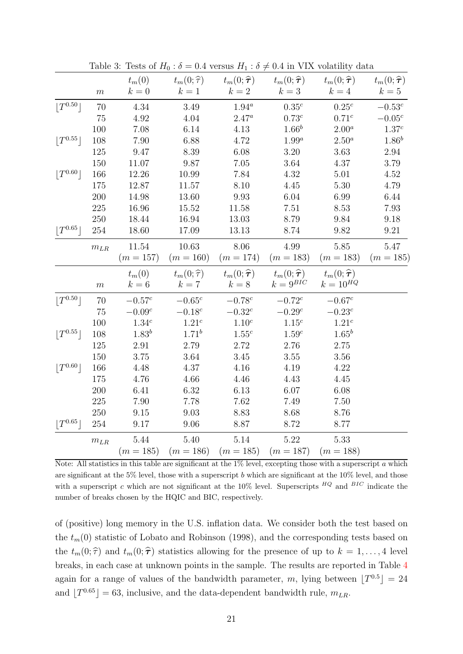|                            |          | $t_m(0)$          | $t_m(0;\hat{\tau})$ | $t_m(0;\widehat{\boldsymbol{\tau}})$ | $t_m(0;\boldsymbol{\widehat{\tau}})$ | $t_m(0;\widehat{\boldsymbol{\tau}})$ | $t_m(0;\widehat{\boldsymbol{\tau}})$ |
|----------------------------|----------|-------------------|---------------------|--------------------------------------|--------------------------------------|--------------------------------------|--------------------------------------|
|                            | $\,m$    | $k=0$             | $k=1$               | $k=2$                                | $k=3$                                | $k=4$                                | $k=5$                                |
| $ T^{0.50} $               | 70       | 4.34              | 3.49                | $1.94^a$                             | $0.35^c$                             | $0.25^c$                             | $-0.53^{c}$                          |
|                            | 75       | 4.92              | 4.04                | $2.47^a$                             | $0.73^c$                             | $0.71^c$                             | $-0.05^c$                            |
|                            | 100      | 7.08              | 6.14                | 4.13                                 | $1.66^{b}$                           | $2.00^a$                             | $1.37^c$                             |
| $\lfloor T^{0.55} \rfloor$ | 108      | 7.90              | 6.88                | 4.72                                 | $1.99^a$                             | $2.50^a$                             | $1.86^{b}$                           |
|                            | 125      | 9.47              | 8.39                | 6.08                                 | 3.20                                 | 3.63                                 | 2.94                                 |
|                            | 150      | 11.07             | 9.87                | 7.05                                 | 3.64                                 | 4.37                                 | 3.79                                 |
| $ T^{0.60} $               | 166      | 12.26             | 10.99               | 7.84                                 | 4.32                                 | $5.01\,$                             | 4.52                                 |
|                            | 175      | 12.87             | 11.57               | 8.10                                 | 4.45                                 | 5.30                                 | 4.79                                 |
|                            | 200      | 14.98             | 13.60               | 9.93                                 | $6.04\,$                             | 6.99                                 | 6.44                                 |
|                            | 225      | 16.96             | 15.52               | 11.58                                | 7.51                                 | 8.53                                 | 7.93                                 |
|                            | 250      | 18.44             | 16.94               | 13.03                                | 8.79                                 | 9.84                                 | 9.18                                 |
| $ T^{0.65} $               | 254      | 18.60             | 17.09               | 13.13                                | 8.74                                 | 9.82                                 | 9.21                                 |
|                            | $m_{LR}$ | 11.54             | 10.63               | 8.06                                 | 4.99                                 | 5.85                                 | 5.47                                 |
|                            |          | $(m = 157)$       | $(m = 160)$         | $(m = 174)$                          | $(m = 183)$                          | $(m = 183)$                          | $(m = 185)$                          |
|                            |          | $t_m(0)$          | $t_m(0;\hat{\tau})$ | $t_m(0;\widehat{\boldsymbol{\tau}})$ | $t_m(0;\hat{\boldsymbol{\tau}})$     | $t_m(0;\widehat{\boldsymbol{\tau}})$ |                                      |
|                            |          |                   |                     |                                      |                                      |                                      |                                      |
|                            | m        | $k=6$             | $k=7$               | $k=8$                                | $k=9^{\mathit{BIC}}$                 | $k = 10^{HQ}$                        |                                      |
|                            | 70       | $-0.57^c$         | $-0.65^{c}$         | $-0.78^{c}$                          | $-0.72^{c}$                          | $-0.67^c$                            |                                      |
| $\lfloor T^{0.50} \rfloor$ | 75       | $-0.09^c$         | $-0.18^c$           | $-0.32^c$                            | $-0.29c$                             | $-0.23^c$                            |                                      |
|                            | 100      | 1.34 <sup>c</sup> | 1.21 <sup>c</sup>   | $1.10^c$                             | $1.15^c$                             | 1.21 <sup>c</sup>                    |                                      |
| $ T^{0.55} $               | 108      | $1.83^{b}$        | $1.71^{b}$          | $1.55^c$                             | $1.59^c$                             | $1.65^b$                             |                                      |
|                            | 125      | 2.91              | 2.79                | 2.72                                 | 2.76                                 | 2.75                                 |                                      |
|                            | 150      | 3.75              | 3.64                | 3.45                                 | 3.55                                 | 3.56                                 |                                      |
| $\lfloor T^{0.60} \rfloor$ | 166      | 4.48              | 4.37                | 4.16                                 | 4.19                                 | 4.22                                 |                                      |
|                            | 175      | 4.76              | 4.66                | 4.46                                 | 4.43                                 | 4.45                                 |                                      |
|                            | 200      | 6.41              | 6.32                | 6.13                                 | 6.07                                 | 6.08                                 |                                      |
|                            | 225      | 7.90              | 7.78                | 7.62                                 | 7.49                                 | 7.50                                 |                                      |
|                            | 250      | 9.15              | 9.03                | 8.83                                 | 8.68                                 | 8.76                                 |                                      |
| $ T^{0.65} $               | 254      | 9.17              | 9.06                | 8.87                                 | 8.72                                 | 8.77                                 |                                      |
|                            | $m_{LR}$ | 5.44              | 5.40                | 5.14<br>$(m = 185)$                  | 5.22                                 | 5.33                                 |                                      |

Table 3: Tests of  $H_0$ :  $\delta = 0.4$  versus  $H_1$ :  $\delta \neq 0.4$  in VIX volatility data

Note: All statistics in this table are significant at the  $1\%$  level, excepting those with a superscript a which are significant at the 5% level, those with a superscript b which are significant at the  $10\%$  level, and those with a superscript c which are not significant at the 10% level. Superscripts  $^{HQ}$  and  $^{BIC}$  indicate the number of breaks chosen by the HQIC and BIC, respectively.

of (positive) long memory in the U.S. inflation data. We consider both the test based on the  $t_m(0)$  statistic of Lobato and Robinson (1998), and the corresponding tests based on the  $t_m(0; \hat{\tau})$  and  $t_m(0; \hat{\tau})$  statistics allowing for the presence of up to  $k = 1, ..., 4$  level breaks, in each case at unknown points in the sample. The results are reported in Table 4 again for a range of values of the bandwidth parameter, m, lying between  $[T^{0.5}] = 24$ and  $[T^{0.65}] = 63$ , inclusive, and the data-dependent bandwidth rule,  $m_{LR}$ .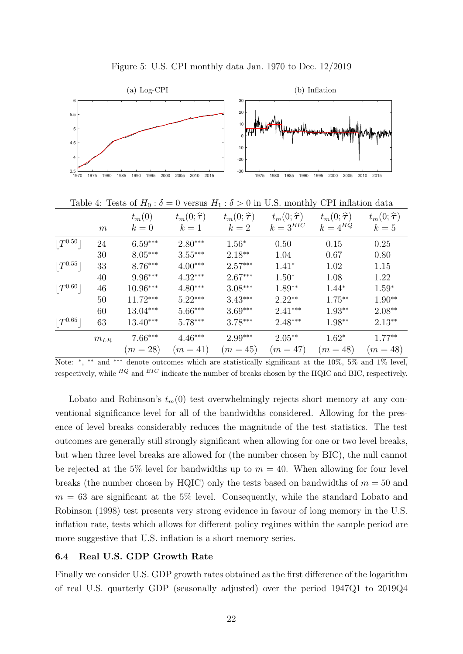

Figure 5: U.S. CPI monthly data Jan. 1970 to Dec. 12/2019

Lobato and Robinson's  $t_m(0)$  test overwhelmingly rejects short memory at any conventional significance level for all of the bandwidths considered. Allowing for the presence of level breaks considerably reduces the magnitude of the test statistics. The test outcomes are generally still strongly significant when allowing for one or two level breaks, but when three level breaks are allowed for (the number chosen by BIC), the null cannot be rejected at the 5% level for bandwidths up to  $m = 40$ . When allowing for four level breaks (the number chosen by HQIC) only the tests based on bandwidths of  $m = 50$  and  $m = 63$  are significant at the 5% level. Consequently, while the standard Lobato and Robinson (1998) test presents very strong evidence in favour of long memory in the U.S. inflation rate, tests which allows for different policy regimes within the sample period are more suggestive that U.S. inflation is a short memory series.

### 6.4 Real U.S. GDP Growth Rate

Finally we consider U.S. GDP growth rates obtained as the first difference of the logarithm of real U.S. quarterly GDP (seasonally adjusted) over the period 1947Q1 to 2019Q4

 $m_{LR}$  7.66\*\*\* 4.46\*\*\* 2.99\*\*\* 2.05\*\* 1.62\* 1.77\*\*  $(m = 28)$   $(m = 41)$   $(m = 45)$   $(m = 47)$   $(m = 48)$   $(m = 48)$ Note: <sup>\*</sup>, <sup>\*\*</sup> and <sup>\*\*\*</sup> denote outcomes which are statistically significant at the 10%, 5% and 1% level, respectively, while  $^{HQ}$  and  $^{BIC}$  indicate the number of breaks chosen by the HQIC and BIC, respectively.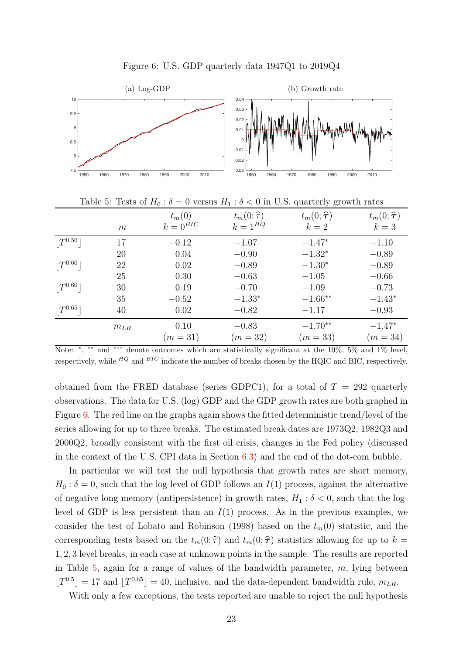

Figure 6: U.S. GDP quarterly data 1947Q1 to 2019Q4

Note: \*, \*\* and \*\*\* denote outcomes which are statistically significant at the 10%, 5% and 1% level, respectively, while  $^{HQ}$  and  $^{BIC}$  indicate the number of breaks chosen by the HQIC and BIC, respectively.

obtained from the FRED database (series GDPC1), for a total of  $T = 292$  quarterly observations. The data for U.S. (log) GDP and the GDP growth rates are both graphed in Figure 6. The red line on the graphs again shows the fitted deterministic trend/level of the series allowing for up to three breaks. The estimated break dates are 1973Q2, 1982Q3 and 2000Q2, broadly consistent with the first oil crisis, changes in the Fed policy (discussed in the context of the U.S. CPI data in Section 6.3) and the end of the dot-com bubble.

In particular we will test the null hypothesis that growth rates are short memory,  $H_0$ :  $\delta = 0$ , such that the log-level of GDP follows an  $I(1)$  process, against the alternative of negative long memory (antipersistence) in growth rates,  $H_1 : \delta < 0$ , such that the loglevel of GDP is less persistent than an  $I(1)$  process. As in the previous examples, we consider the test of Lobato and Robinson (1998) based on the  $t_m(0)$  statistic, and the corresponding tests based on the  $t_m(0; \hat{\tau})$  and  $t_m(0; \hat{\tau})$  statistics allowing for up to  $k =$ 1, 2, 3 level breaks, in each case at unknown points in the sample. The results are reported in Table  $5$ , again for a range of values of the bandwidth parameter,  $m$ , lying between  $[T^{0.5}] = 17$  and  $[T^{0.65}] = 40$ , inclusive, and the data-dependent bandwidth rule,  $m_{LR}$ .

With only a few exceptions, the tests reported are unable to reject the null hypothesis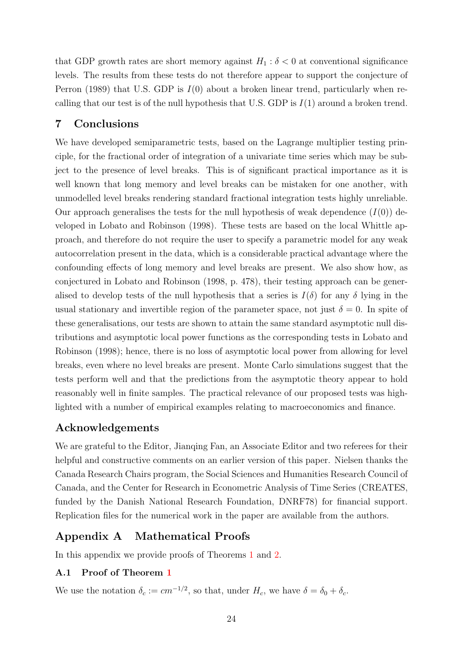that GDP growth rates are short memory against  $H_1 : \delta < 0$  at conventional significance levels. The results from these tests do not therefore appear to support the conjecture of Perron (1989) that U.S. GDP is  $I(0)$  about a broken linear trend, particularly when recalling that our test is of the null hypothesis that U.S. GDP is  $I(1)$  around a broken trend.

# 7 Conclusions

We have developed semiparametric tests, based on the Lagrange multiplier testing principle, for the fractional order of integration of a univariate time series which may be subject to the presence of level breaks. This is of significant practical importance as it is well known that long memory and level breaks can be mistaken for one another, with unmodelled level breaks rendering standard fractional integration tests highly unreliable. Our approach generalises the tests for the null hypothesis of weak dependence  $(I(0))$  developed in Lobato and Robinson (1998). These tests are based on the local Whittle approach, and therefore do not require the user to specify a parametric model for any weak autocorrelation present in the data, which is a considerable practical advantage where the confounding effects of long memory and level breaks are present. We also show how, as conjectured in Lobato and Robinson (1998, p. 478), their testing approach can be generalised to develop tests of the null hypothesis that a series is  $I(\delta)$  for any  $\delta$  lying in the usual stationary and invertible region of the parameter space, not just  $\delta = 0$ . In spite of these generalisations, our tests are shown to attain the same standard asymptotic null distributions and asymptotic local power functions as the corresponding tests in Lobato and Robinson (1998); hence, there is no loss of asymptotic local power from allowing for level breaks, even where no level breaks are present. Monte Carlo simulations suggest that the tests perform well and that the predictions from the asymptotic theory appear to hold reasonably well in finite samples. The practical relevance of our proposed tests was highlighted with a number of empirical examples relating to macroeconomics and finance.

# Acknowledgements

We are grateful to the Editor, Jianqing Fan, an Associate Editor and two referees for their helpful and constructive comments on an earlier version of this paper. Nielsen thanks the Canada Research Chairs program, the Social Sciences and Humanities Research Council of Canada, and the Center for Research in Econometric Analysis of Time Series (CREATES, funded by the Danish National Research Foundation, DNRF78) for financial support. Replication files for the numerical work in the paper are available from the authors.

# Appendix A Mathematical Proofs

In this appendix we provide proofs of Theorems 1 and 2.

### A.1 Proof of Theorem 1

We use the notation  $\delta_c := cm^{-1/2}$ , so that, under  $H_c$ , we have  $\delta = \delta_0 + \delta_c$ .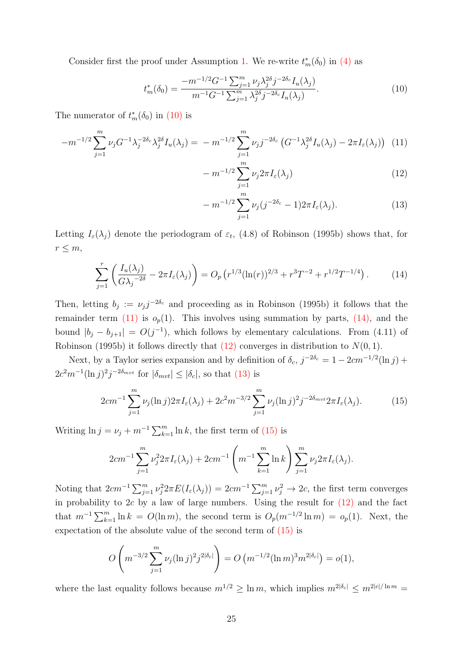Consider first the proof under Assumption 1. We re-write  $t_m^*(\delta_0)$  in (4) as

$$
t_m^*(\delta_0) = \frac{-m^{-1/2}G^{-1}\sum_{j=1}^m \nu_j \lambda_j^{2\delta} j^{-2\delta_c} I_u(\lambda_j)}{m^{-1}G^{-1}\sum_{j=1}^m \lambda_j^{2\delta} j^{-2\delta_c} I_u(\lambda_j)}.
$$
(10)

The numerator of  $t_m^*(\delta_0)$  in  $(10)$  is

$$
-m^{-1/2} \sum_{j=1}^{m} \nu_j G^{-1} \lambda_j^{-2\delta_c} \lambda_j^{2\delta} I_u(\lambda_j) = -m^{-1/2} \sum_{j=1}^{m} \nu_j j^{-2\delta_c} \left( G^{-1} \lambda_j^{2\delta} I_u(\lambda_j) - 2\pi I_c(\lambda_j) \right) (11)
$$

$$
-m^{-1/2}\sum_{j=1}^{m}\nu_j 2\pi I_{\varepsilon}(\lambda_j)
$$
\n(12)

$$
-m^{-1/2}\sum_{j=1}^{m}\nu_j(j^{-2\delta_c}-1)2\pi I_{\varepsilon}(\lambda_j).
$$
 (13)

Letting  $I_{\varepsilon}(\lambda_j)$  denote the periodogram of  $\varepsilon_t$ , (4.8) of Robinson (1995b) shows that, for  $r \leq m$ ,

$$
\sum_{j=1}^{r} \left( \frac{I_u(\lambda_j)}{G \lambda_j^{-2\delta}} - 2\pi I_{\varepsilon}(\lambda_j) \right) = O_p \left( r^{1/3} (\ln(r))^{2/3} + r^3 T^{-2} + r^{1/2} T^{-1/4} \right). \tag{14}
$$

Then, letting  $b_j := \nu_j j^{-2\delta_c}$  and proceeding as in Robinson (1995b) it follows that the remainder term (11) is  $o_p(1)$ . This involves using summation by parts, (14), and the bound  $|b_j - b_{j+1}| = O(j^{-1})$ , which follows by elementary calculations. From (4.11) of Robinson (1995b) it follows directly that  $(12)$  converges in distribution to  $N(0, 1)$ .

Next, by a Taylor series expansion and by definition of  $\delta_c$ ,  $j^{-2\delta_c} = 1 - 2cm^{-1/2}(\ln j) +$  $2c^2m^{-1}(\ln j)^2j^{-2\delta_{mvt}}$  for  $|\delta_{mvt}| \leq |\delta_c|$ , so that (13) is

$$
2cm^{-1} \sum_{j=1}^{m} \nu_j(\ln j) 2\pi I_{\varepsilon}(\lambda_j) + 2c^2 m^{-3/2} \sum_{j=1}^{m} \nu_j(\ln j)^2 j^{-2\delta_{mvt}} 2\pi I_{\varepsilon}(\lambda_j).
$$
 (15)

Writing  $\ln j = \nu_j + m^{-1} \sum_{k=1}^m \ln k$ , the first term of (15) is

$$
2cm^{-1}\sum_{j=1}^m\nu_j^2 2\pi I_\varepsilon(\lambda_j) + 2cm^{-1}\left(m^{-1}\sum_{k=1}^m \ln k\right)\sum_{j=1}^m \nu_j 2\pi I_\varepsilon(\lambda_j).
$$

Noting that  $2cm^{-1}\sum_{j=1}^m \nu_j^2 2\pi E(I_\varepsilon(\lambda_j)) = 2cm^{-1}\sum_{j=1}^m \nu_j^2 \to 2c$ , the first term converges in probability to  $2c$  by a law of large numbers. Using the result for  $(12)$  and the fact that  $m^{-1} \sum_{k=1}^{m} \ln k = O(\ln m)$ , the second term is  $O_p(m^{-1/2} \ln m) = o_p(1)$ . Next, the expectation of the absolute value of the second term of (15) is

$$
O\left(m^{-3/2}\sum_{j=1}^m\nu_j(\ln j)^2j^{2|\delta_c|}\right) = O\left(m^{-1/2}(\ln m)^3m^{2|\delta_c|}\right) = o(1),
$$

where the last equality follows because  $m^{1/2} \ge \ln m$ , which implies  $m^{2|\delta_c|} \le m^{2|c|/\ln m} =$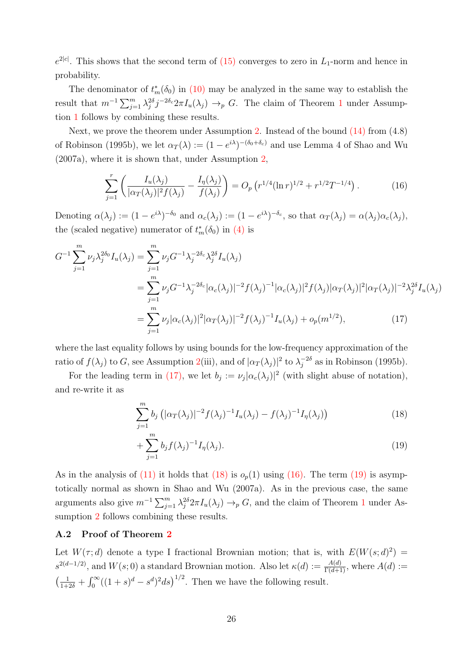$e^{2|c|}$ . This shows that the second term of (15) converges to zero in  $L_1$ -norm and hence in probability.

The denominator of  $t_m^*(\delta_0)$  in (10) may be analyzed in the same way to establish the result that  $m^{-1} \sum_{j=1}^m \lambda_j^{2\delta} j^{-2\delta_c} 2\pi I_u(\lambda_j) \to_p G$ . The claim of Theorem 1 under Assumption 1 follows by combining these results.

Next, we prove the theorem under Assumption 2. Instead of the bound (14) from (4.8) of Robinson (1995b), we let  $\alpha_T(\lambda) := (1 - e^{i\lambda})^{-(\delta_0 + \delta_c)}$  and use Lemma 4 of Shao and Wu (2007a), where it is shown that, under Assumption 2,

$$
\sum_{j=1}^{r} \left( \frac{I_u(\lambda_j)}{|\alpha_T(\lambda_j)|^2 f(\lambda_j)} - \frac{I_\eta(\lambda_j)}{f(\lambda_j)} \right) = O_p\left(r^{1/4} (\ln r)^{1/2} + r^{1/2} T^{-1/4}\right). \tag{16}
$$

Denoting  $\alpha(\lambda_j) := (1 - e^{i\lambda})^{-\delta_0}$  and  $\alpha_c(\lambda_j) := (1 - e^{i\lambda})^{-\delta_c}$ , so that  $\alpha_T(\lambda_j) = \alpha(\lambda_j)\alpha_c(\lambda_j)$ , the (scaled negative) numerator of  $t_m^*(\delta_0)$  in (4) is

$$
G^{-1} \sum_{j=1}^{m} \nu_{j} \lambda_{j}^{2\delta_{0}} I_{u}(\lambda_{j}) = \sum_{j=1}^{m} \nu_{j} G^{-1} \lambda_{j}^{-2\delta_{c}} \lambda_{j}^{2\delta} I_{u}(\lambda_{j})
$$
  
\n
$$
= \sum_{j=1}^{m} \nu_{j} G^{-1} \lambda_{j}^{-2\delta_{c}} |\alpha_{c}(\lambda_{j})|^{-2} f(\lambda_{j})^{-1} |\alpha_{c}(\lambda_{j})|^{2} f(\lambda_{j}) |\alpha_{T}(\lambda_{j})|^{2} |\alpha_{T}(\lambda_{j})|^{-2} \lambda_{j}^{2\delta} I_{u}(\lambda_{j})
$$
  
\n
$$
= \sum_{j=1}^{m} \nu_{j} |\alpha_{c}(\lambda_{j})|^{2} |\alpha_{T}(\lambda_{j})|^{-2} f(\lambda_{j})^{-1} I_{u}(\lambda_{j}) + o_{p}(m^{1/2}), \qquad (17)
$$

where the last equality follows by using bounds for the low-frequency approximation of the ratio of  $f(\lambda_j)$  to G, see Assumption 2(iii), and of  $|\alpha_T(\lambda_j)|^2$  to  $\lambda_j^{-2\delta}$  as in Robinson (1995b).

For the leading term in (17), we let  $b_j := \nu_j |\alpha_c(\lambda_j)|^2$  (with slight abuse of notation), and re-write it as

$$
\sum_{j=1}^{m} b_j \left( |\alpha_T(\lambda_j)|^{-2} f(\lambda_j)^{-1} I_u(\lambda_j) - f(\lambda_j)^{-1} I_\eta(\lambda_j) \right) \tag{18}
$$

$$
+\sum_{j=1}^{m} b_j f(\lambda_j)^{-1} I_{\eta}(\lambda_j).
$$
 (19)

As in the analysis of  $(11)$  it holds that  $(18)$  is  $o_p(1)$  using  $(16)$ . The term  $(19)$  is asymptotically normal as shown in Shao and Wu (2007a). As in the previous case, the same arguments also give  $m^{-1} \sum_{j=1}^m \lambda_j^{2\delta} 2\pi I_u(\lambda_j) \to_p G$ , and the claim of Theorem 1 under Assumption 2 follows combining these results.

#### A.2 Proof of Theorem 2

Let  $W(\tau; d)$  denote a type I fractional Brownian motion; that is, with  $E(W(s; d)^2) =$  $s^{2(d-1/2)}$ , and  $W(s; 0)$  a standard Brownian motion. Also let  $\kappa(d) := \frac{A(d)}{\Gamma(d+1)}$ , where  $A(d) :=$  $\left(\frac{1}{1+2\delta} + \int_0^\infty ((1+s)^d - s^d)^2 ds\right)^{1/2}$ . Then we have the following result.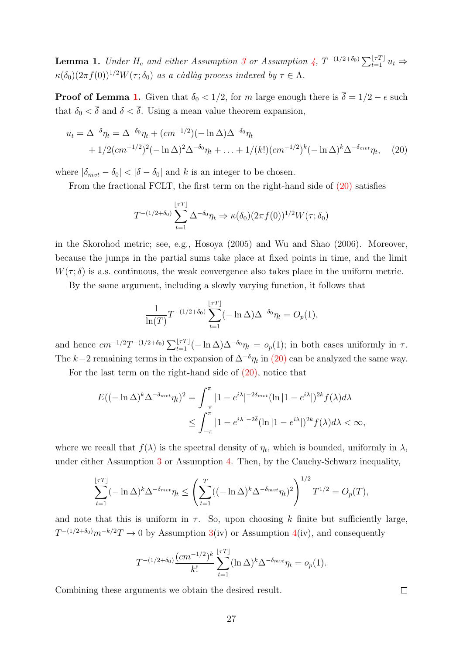**Lemma 1.** Under  $H_c$  and either Assumption 3 or Assumption 4,  $T^{-(1/2+\delta_0)} \sum_{t=1}^{T} u_t \Rightarrow$  $\kappa(\delta_0)(2\pi f(0))^{1/2}W(\tau;\delta_0)$  as a càdlàg process indexed by  $\tau \in \Lambda$ .

**Proof of Lemma 1.** Given that  $\delta_0 < 1/2$ , for m large enough there is  $\overline{\delta} = 1/2 - \epsilon$  such that  $\delta_0 < \overline{\delta}$  and  $\delta < \overline{\delta}$ . Using a mean value theorem expansion,

$$
u_t = \Delta^{-\delta} \eta_t = \Delta^{-\delta_0} \eta_t + (cm^{-1/2})(-\ln \Delta) \Delta^{-\delta_0} \eta_t
$$
  
+ 1/2(cm<sup>-1/2</sup>)<sup>2</sup>(- ln  $\Delta$ )<sup>2</sup> $\Delta^{-\delta_0} \eta_t + ... + 1/(k!)(cm^{-1/2})^k(-\ln \Delta)^k \Delta^{-\delta_{mvt}} \eta_t$ , (20)

where  $|\delta_{mvt} - \delta_0| < |\delta - \delta_0|$  and k is an integer to be chosen.

From the fractional FCLT, the first term on the right-hand side of (20) satisfies

$$
T^{-(1/2+\delta_0)}\sum_{t=1}^{\lfloor \tau T \rfloor} \Delta^{-\delta_0} \eta_t \Rightarrow \kappa(\delta_0) (2\pi f(0))^{1/2} W(\tau; \delta_0)
$$

in the Skorohod metric; see, e.g., Hosoya (2005) and Wu and Shao (2006). Moreover, because the jumps in the partial sums take place at fixed points in time, and the limit  $W(\tau; \delta)$  is a.s. continuous, the weak convergence also takes place in the uniform metric.

By the same argument, including a slowly varying function, it follows that

$$
\frac{1}{\ln(T)} T^{-(1/2+\delta_0)} \sum_{t=1}^{\lfloor \tau T \rfloor} (-\ln \Delta) \Delta^{-\delta_0} \eta_t = O_p(1),
$$

and hence  $cm^{-1/2}T^{-(1/2+\delta_0)}\sum_{t=1}^{\lfloor \tau T \rfloor}(-\ln \Delta)\Delta^{-\delta_0}\eta_t = o_p(1)$ ; in both cases uniformly in  $\tau$ . The k–2 remaining terms in the expansion of  $\Delta^{-\delta}\eta_t$  in (20) can be analyzed the same way.

For the last term on the right-hand side of (20), notice that

$$
E((-\ln \Delta)^{k} \Delta^{-\delta_{mvt}} \eta_t)^2 = \int_{-\pi}^{\pi} |1 - e^{i\lambda}|^{-2\delta_{mvt}} (\ln |1 - e^{i\lambda}|)^{2k} f(\lambda) d\lambda
$$
  

$$
\leq \int_{-\pi}^{\pi} |1 - e^{i\lambda}|^{-2\delta} (\ln |1 - e^{i\lambda}|)^{2k} f(\lambda) d\lambda < \infty,
$$

where we recall that  $f(\lambda)$  is the spectral density of  $\eta_t$ , which is bounded, uniformly in  $\lambda$ , under either Assumption 3 or Assumption 4. Then, by the Cauchy-Schwarz inequality,

$$
\sum_{t=1}^{\lfloor \tau T \rfloor} (-\ln \Delta)^k \Delta^{-\delta_{mvt}} \eta_t \le \left( \sum_{t=1}^T ((-\ln \Delta)^k \Delta^{-\delta_{mvt}} \eta_t)^2 \right)^{1/2} T^{1/2} = O_p(T),
$$

and note that this is uniform in  $\tau$ . So, upon choosing k finite but sufficiently large,  $T^{-(1/2+\delta_0)}m^{-k/2}T \to 0$  by Assumption 3(iv) or Assumption 4(iv), and consequently

$$
T^{-(1/2+\delta_0)}\frac{(cm^{-1/2})^k}{k!} \sum_{t=1}^{\lfloor \tau T \rfloor} (\ln \Delta)^k \Delta^{-\delta_{mvt}} \eta_t = o_p(1).
$$

Combining these arguments we obtain the desired result.

 $\Box$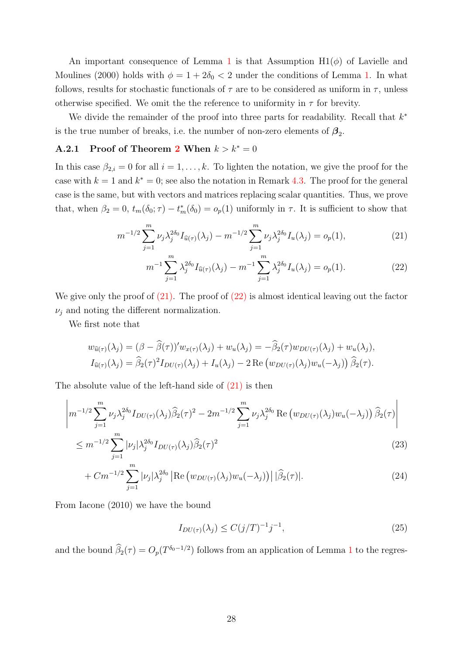An important consequence of Lemma 1 is that Assumption  $H1(\phi)$  of Lavielle and Moulines (2000) holds with  $\phi = 1 + 2\delta_0 < 2$  under the conditions of Lemma 1. In what follows, results for stochastic functionals of  $\tau$  are to be considered as uniform in  $\tau$ , unless otherwise specified. We omit the the reference to uniformity in  $\tau$  for brevity.

We divide the remainder of the proof into three parts for readability. Recall that  $k^*$ is the true number of breaks, i.e. the number of non-zero elements of  $\beta_2$ .

### A.2.1 Proof of Theorem 2 When  $k > k^* = 0$

In this case  $\beta_{2,i} = 0$  for all  $i = 1, \ldots, k$ . To lighten the notation, we give the proof for the case with  $k = 1$  and  $k^* = 0$ ; see also the notation in Remark 4.3. The proof for the general case is the same, but with vectors and matrices replacing scalar quantities. Thus, we prove that, when  $\beta_2 = 0$ ,  $t_m(\delta_0; \tau) - t_m^*(\delta_0) = o_p(1)$  uniformly in  $\tau$ . It is sufficient to show that

$$
m^{-1/2} \sum_{j=1}^{m} \nu_j \lambda_j^{2\delta_0} I_{\widehat{u}(\tau)}(\lambda_j) - m^{-1/2} \sum_{j=1}^{m} \nu_j \lambda_j^{2\delta_0} I_u(\lambda_j) = o_p(1),
$$
\n(21)

$$
m^{-1} \sum_{j=1}^{m} \lambda_j^{2\delta_0} I_{\widehat{u}(\tau)}(\lambda_j) - m^{-1} \sum_{j=1}^{m} \lambda_j^{2\delta_0} I_u(\lambda_j) = o_p(1).
$$
 (22)

We give only the proof of  $(21)$ . The proof of  $(22)$  is almost identical leaving out the factor  $\nu_j$  and noting the different normalization.

We first note that

$$
w_{\widehat{u}(\tau)}(\lambda_j) = (\beta - \widehat{\beta}(\tau))' w_{x(\tau)}(\lambda_j) + w_u(\lambda_j) = -\widehat{\beta}_2(\tau) w_{DU(\tau)}(\lambda_j) + w_u(\lambda_j),
$$
  

$$
I_{\widehat{u}(\tau)}(\lambda_j) = \widehat{\beta}_2(\tau)^2 I_{DU(\tau)}(\lambda_j) + I_u(\lambda_j) - 2 \operatorname{Re} (w_{DU(\tau)}(\lambda_j) w_u(-\lambda_j)) \widehat{\beta}_2(\tau).
$$

The absolute value of the left-hand side of (21) is then

$$
\left| m^{-1/2} \sum_{j=1}^{m} \nu_j \lambda_j^{2\delta_0} I_{DU(\tau)}(\lambda_j) \widehat{\beta}_2(\tau)^2 - 2m^{-1/2} \sum_{j=1}^{m} \nu_j \lambda_j^{2\delta_0} \operatorname{Re} \left( w_{DU(\tau)}(\lambda_j) w_u(-\lambda_j) \right) \widehat{\beta}_2(\tau) \right|
$$
  
 
$$
\leq m^{-1/2} \sum_{j=1}^{m} |\nu_j| \lambda_j^{2\delta_0} I_{DU(\tau)}(\lambda_j) \widehat{\beta}_2(\tau)^2
$$
 (23)

$$
+ Cm^{-1/2} \sum_{j=1}^{m} |\nu_j| \lambda_j^{2\delta_0} \left| \text{Re} \left( w_{DU(\tau)}(\lambda_j) w_u(-\lambda_j) \right) \right| |\widehat{\beta}_2(\tau)|. \tag{24}
$$

From Iacone (2010) we have the bound

$$
I_{DU(\tau)}(\lambda_j) \le C(j/T)^{-1}j^{-1},\tag{25}
$$

and the bound  $\hat{\beta}_2(\tau) = O_p(T^{\delta_0 - 1/2})$  follows from an application of Lemma 1 to the regres-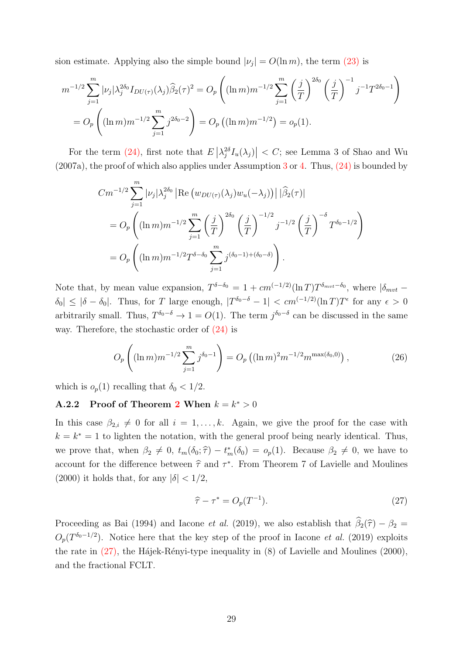sion estimate. Applying also the simple bound  $|\nu_j| = O(\ln m)$ , the term (23) is

$$
m^{-1/2} \sum_{j=1}^{m} |\nu_j| \lambda_j^{2\delta_0} I_{DU(\tau)}(\lambda_j) \widehat{\beta}_2(\tau)^2 = O_p \left( (\ln m) m^{-1/2} \sum_{j=1}^{m} \left( \frac{j}{T} \right)^{2\delta_0} \left( \frac{j}{T} \right)^{-1} j^{-1} T^{2\delta_0 - 1} \right)
$$
  
= 
$$
O_p \left( (\ln m) m^{-1/2} \sum_{j=1}^{m} j^{2\delta_0 - 2} \right) = O_p \left( (\ln m) m^{-1/2} \right) = o_p(1).
$$

For the term (24), first note that  $E\left[\lambda_j^{2\delta}I_u(\lambda_j)\right] < C$ ; see Lemma 3 of Shao and Wu  $(2007a)$ , the proof of which also applies under Assumption 3 or 4. Thus,  $(24)$  is bounded by

$$
Cm^{-1/2} \sum_{j=1}^{m} |\nu_j| \lambda_j^{2\delta_0} \left| \text{Re} \left( w_{DU(\tau)}(\lambda_j) w_u(-\lambda_j) \right) \right| |\widehat{\beta}_2(\tau)|
$$
  
= 
$$
O_p \left( (\ln m) m^{-1/2} \sum_{j=1}^{m} \left( \frac{j}{T} \right)^{2\delta_0} \left( \frac{j}{T} \right)^{-1/2} j^{-1/2} \left( \frac{j}{T} \right)^{-\delta} T^{\delta_0 - 1/2} \right)
$$
  
= 
$$
O_p \left( (\ln m) m^{-1/2} T^{\delta - \delta_0} \sum_{j=1}^{m} j^{(\delta_0 - 1) + (\delta_0 - \delta)} \right).
$$

Note that, by mean value expansion,  $T^{\delta-\delta_0} = 1 + cm^{(-1/2)}(\ln T)T^{\delta_{mvt}-\delta_0}$ , where  $|\delta_{mvt} - \delta_0|$  $|\delta_0| \leq |\delta - \delta_0|$ . Thus, for T large enough,  $|T^{\delta_0-\delta} - 1| < cm^{(-1/2)}(\ln T)T^{\epsilon}$  for any  $\epsilon > 0$ arbitrarily small. Thus,  $T^{\delta_0-\delta} \to 1 = O(1)$ . The term  $j^{\delta_0-\delta}$  can be discussed in the same way. Therefore, the stochastic order of (24) is

$$
O_p\left((\ln m)m^{-1/2}\sum_{j=1}^m j^{\delta_0-1}\right) = O_p\left((\ln m)^2m^{-1/2}m^{\max(\delta_0,0)}\right),\tag{26}
$$

which is  $o_p(1)$  recalling that  $\delta_0 < 1/2$ .

### **A.2.2** Proof of Theorem 2 When  $k = k^* > 0$

In this case  $\beta_{2,i} \neq 0$  for all  $i = 1, \ldots, k$ . Again, we give the proof for the case with  $k = k^* = 1$  to lighten the notation, with the general proof being nearly identical. Thus, we prove that, when  $\beta_2 \neq 0$ ,  $t_m(\delta_0; \hat{\tau}) - t_m^*(\delta_0) = o_p(1)$ . Because  $\beta_2 \neq 0$ , we have to account for the difference between  $\hat{\tau}$  and  $\tau^*$ . From Theorem 7 of Lavielle and Moulines (2000) it holds that, for any  $|\delta| < 1/2$ ,

$$
\widehat{\tau} - \tau^* = O_p(T^{-1}).\tag{27}
$$

Proceeding as Bai (1994) and Iacone *et al.* (2019), we also establish that  $\hat{\beta}_2(\hat{\tau}) - \beta_2 =$  $O_p(T^{\delta_0-1/2})$ . Notice here that the key step of the proof in Iacone *et al.* (2019) exploits the rate in  $(27)$ , the Hájek-Rényi-type inequality in  $(8)$  of Lavielle and Moulines  $(2000)$ , and the fractional FCLT.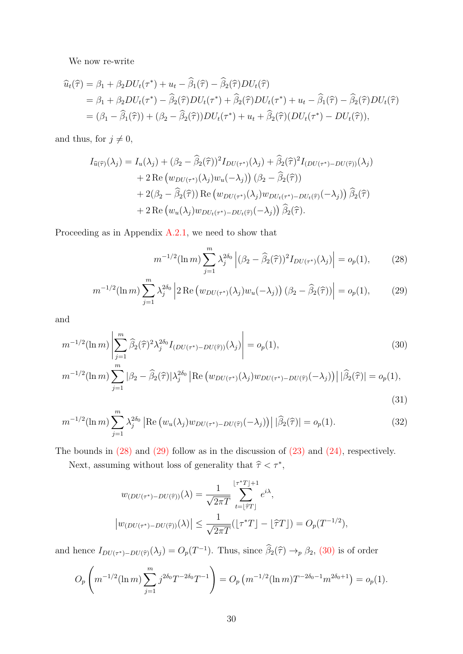We now re-write

$$
\begin{split}\n\widehat{u}_{t}(\widehat{\tau}) &= \beta_{1} + \beta_{2}DU_{t}(\tau^{*}) + u_{t} - \widehat{\beta}_{1}(\widehat{\tau}) - \widehat{\beta}_{2}(\widehat{\tau})DU_{t}(\widehat{\tau}) \\
&= \beta_{1} + \beta_{2}DU_{t}(\tau^{*}) - \widehat{\beta}_{2}(\widehat{\tau})DU_{t}(\tau^{*}) + \widehat{\beta}_{2}(\widehat{\tau})DU_{t}(\tau^{*}) + u_{t} - \widehat{\beta}_{1}(\widehat{\tau}) - \widehat{\beta}_{2}(\widehat{\tau})DU_{t}(\widehat{\tau}) \\
&= (\beta_{1} - \widehat{\beta}_{1}(\widehat{\tau})) + (\beta_{2} - \widehat{\beta}_{2}(\widehat{\tau}))DU_{t}(\tau^{*}) + u_{t} + \widehat{\beta}_{2}(\widehat{\tau})(DU_{t}(\tau^{*}) - DU_{t}(\widehat{\tau})),\n\end{split}
$$

and thus, for  $j \neq 0$ ,

$$
I_{\widehat{u}(\widehat{\tau})}(\lambda_j) = I_u(\lambda_j) + (\beta_2 - \widehat{\beta}_2(\widehat{\tau}))^2 I_{DU(\tau^*)}(\lambda_j) + \widehat{\beta}_2(\widehat{\tau})^2 I_{(DU(\tau^*)-DU(\widehat{\tau}))}(\lambda_j)
$$
  
+ 2 Re (w<sub>DU(\tau^\*)</sub>(\lambda\_j) w\_u(-\lambda\_j)) (\beta\_2 - \widehat{\beta}\_2(\widehat{\tau}))  
+ 2(\beta\_2 - \widehat{\beta}\_2(\widehat{\tau})) Re (w\_{DU(\tau^\*)}(\lambda\_j) w\_{DU\_t(\tau^\*)-DU\_t(\widehat{\tau})}(-\lambda\_j)) \widehat{\beta}\_2(\widehat{\tau})  
+ 2 Re (w\_u(\lambda\_j) w\_{DU\_t(\tau^\*)-DU\_t(\widehat{\tau})}(-\lambda\_j)) \widehat{\beta}\_2(\widehat{\tau}).

Proceeding as in Appendix  $A.2.1$ , we need to show that

$$
m^{-1/2}(\ln m) \sum_{j=1}^{m} \lambda_j^{2\delta_0} \left| (\beta_2 - \widehat{\beta}_2(\widehat{\tau}))^2 I_{DU(\tau^*)}(\lambda_j) \right| = o_p(1), \tag{28}
$$

$$
m^{-1/2}(\ln m)\sum_{j=1}^{m}\lambda_j^{2\delta_0}\left|2\operatorname{Re}\left(w_{DU(\tau^*)}(\lambda_j)w_u(-\lambda_j)\right)(\beta_2-\widehat{\beta}_2(\widehat{\tau}))\right|=o_p(1),\qquad(29)
$$

and

$$
m^{-1/2}(\ln m) \left| \sum_{j=1}^{m} \hat{\beta}_2(\hat{\tau})^2 \lambda_j^{2\delta_0} I_{(DU(\tau^*)-DU(\hat{\tau}))}(\lambda_j) \right| = o_p(1),\tag{30}
$$

$$
m^{-1/2}(\ln m)\sum_{j=1}^{m}|\beta_2 - \widehat{\beta}_2(\widehat{\tau})|\lambda_j^{2\delta_0}|\operatorname{Re}\left(w_{DU(\tau^*)}(\lambda_j)w_{DU(\tau^*)-DU(\widehat{\tau})}(-\lambda_j)\right)|\widehat{\beta}_2(\widehat{\tau})| = o_p(1),\tag{31}
$$

$$
m^{-1/2}(\ln m) \sum_{j=1}^{m} \lambda_j^{2\delta_0} \left| \text{Re} \left( w_u(\lambda_j) w_{DU(\tau^*) - DU(\widehat{\tau})}(-\lambda_j) \right) \right| |\widehat{\beta}_2(\widehat{\tau})| = o_p(1). \tag{32}
$$

The bounds in  $(28)$  and  $(29)$  follow as in the discussion of  $(23)$  and  $(24)$ , respectively.

Next, assuming without loss of generality that  $\hat{\tau} < \tau^*$ ,

$$
w_{(DU(\tau^*)-DU(\hat{\tau}))}(\lambda) = \frac{1}{\sqrt{2\pi T}} \sum_{t=\lfloor \hat{\tau}T \rfloor}^{\lfloor \tau^*T \rfloor + 1} e^{i\lambda},
$$
  

$$
|w_{(DU(\tau^*)-DU(\hat{\tau}))}(\lambda)| \le \frac{1}{\sqrt{2\pi T}} (\lfloor \tau^*T \rfloor - \lfloor \hat{\tau}T \rfloor) = O_p(T^{-1/2}),
$$

and hence  $I_{DU(\tau^*)-DU(\hat{\tau})}(\lambda_j) = O_p(T^{-1})$ . Thus, since  $\hat{\beta}_2(\hat{\tau}) \to_p \beta_2$ , (30) is of order

$$
O_p\left(m^{-1/2}(\ln m)\sum_{j=1}^m j^{2\delta_0}T^{-2\delta_0}T^{-1}\right) = O_p\left(m^{-1/2}(\ln m)T^{-2\delta_0-1}m^{2\delta_0+1}\right) = o_p(1).
$$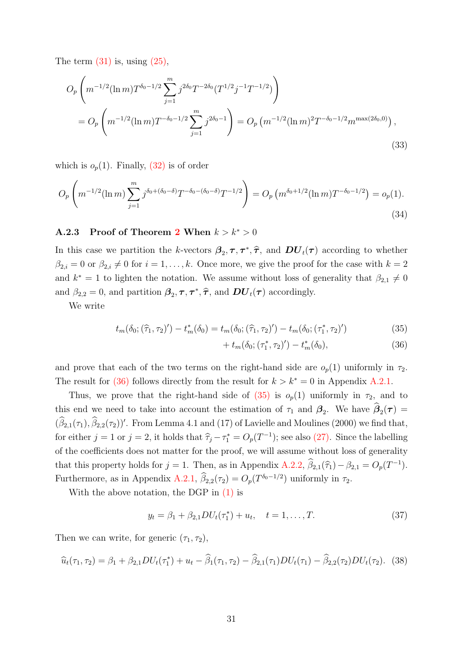The term  $(31)$  is, using  $(25)$ ,

$$
O_p\left(m^{-1/2}(\ln m)T^{\delta_0 - 1/2} \sum_{j=1}^m j^{2\delta_0} T^{-2\delta_0} (T^{1/2}j^{-1}T^{-1/2})\right)
$$
  
= 
$$
O_p\left(m^{-1/2}(\ln m)T^{-\delta_0 - 1/2} \sum_{j=1}^m j^{2\delta_0 - 1}\right) = O_p\left(m^{-1/2}(\ln m)^2 T^{-\delta_0 - 1/2} m^{\max(2\delta_0, 0)}\right),
$$
 (33)

which is  $o_p(1)$ . Finally,  $(32)$  is of order

$$
O_p\left(m^{-1/2}(\ln m)\sum_{j=1}^m j^{\delta_0 + (\delta_0 - \delta)} T^{-\delta_0 - (\delta_0 - \delta)} T^{-1/2}\right) = O_p\left(m^{\delta_0 + 1/2}(\ln m) T^{-\delta_0 - 1/2}\right) = o_p(1).
$$
\n(34)

### A.2.3 Proof of Theorem 2 When  $k > k^* > 0$

In this case we partition the k-vectors  $\beta_2, \tau, \tau^*, \hat{\tau}$ , and  $DU_t(\tau)$  according to whether  $\beta_{2,i} = 0$  or  $\beta_{2,i} \neq 0$  for  $i = 1, ..., k$ . Once more, we give the proof for the case with  $k = 2$ and  $k^* = 1$  to lighten the notation. We assume without loss of generality that  $\beta_{2,1} \neq 0$ and  $\beta_{2,2} = 0$ , and partition  $\beta_2, \tau, \tau^*, \hat{\tau}$ , and  $DU_t(\tau)$  accordingly.

We write

$$
t_m(\delta_0; (\hat{\tau}_1, \tau_2)') - t_m^*(\delta_0) = t_m(\delta_0; (\hat{\tau}_1, \tau_2)') - t_m(\delta_0; (\tau_1^*, \tau_2)')
$$
\n(35)

$$
+ t_m(\delta_0; (\tau_1^*, \tau_2)') - t_m^*(\delta_0), \tag{36}
$$

and prove that each of the two terms on the right-hand side are  $o_p(1)$  uniformly in  $\tau_2$ . The result for (36) follows directly from the result for  $k > k^* = 0$  in Appendix A.2.1.

Thus, we prove that the right-hand side of  $(35)$  is  $o_p(1)$  uniformly in  $\tau_2$ , and to this end we need to take into account the estimation of  $\tau_1$  and  $\beta_2$ . We have  $\beta_2(\tau)$  =  $(\beta_{2,1}(\tau_1), \beta_{2,2}(\tau_2))'$ . From Lemma 4.1 and (17) of Lavielle and Moulines (2000) we find that, for either  $j = 1$  or  $j = 2$ , it holds that  $\hat{\tau}_j - \tau_1^* = O_p(T^{-1})$ ; see also (27). Since the labelling of the coefficients does not matter for the proof, we will assume without loss of generality that this property holds for  $j = 1$ . Then, as in Appendix A.2.2,  $\beta_{2,1}(\hat{\tau}_1) - \beta_{2,1} = O_p(T^{-1})$ . Furthermore, as in Appendix A.2.1,  $\beta_{2,2}(\tau_2) = O_p(T^{\delta_0 - 1/2})$  uniformly in  $\tau_2$ .

With the above notation, the DGP in (1) is

$$
y_t = \beta_1 + \beta_{2,1} DU_t(\tau_1^*) + u_t, \quad t = 1, \dots, T.
$$
 (37)

Then we can write, for generic  $(\tau_1, \tau_2)$ ,

$$
\widehat{u}_t(\tau_1, \tau_2) = \beta_1 + \beta_{2,1} DU_t(\tau_1^*) + u_t - \widehat{\beta}_1(\tau_1, \tau_2) - \widehat{\beta}_{2,1}(\tau_1) DU_t(\tau_1) - \widehat{\beta}_{2,2}(\tau_2) DU_t(\tau_2).
$$
 (38)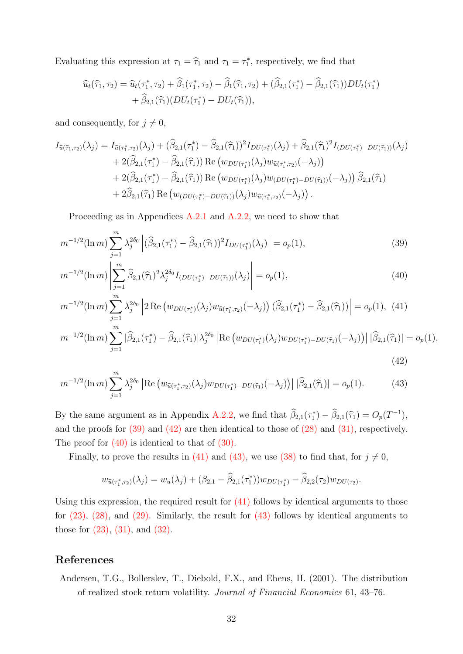Evaluating this expression at  $\tau_1 = \hat{\tau}_1$  and  $\tau_1 = \tau_1^*$ , respectively, we find that

$$
\hat{u}_t(\hat{\tau}_1, \tau_2) = \hat{u}_t(\tau_1^*, \tau_2) + \hat{\beta}_1(\tau_1^*, \tau_2) - \hat{\beta}_1(\hat{\tau}_1, \tau_2) + (\hat{\beta}_{2,1}(\tau_1^*) - \hat{\beta}_{2,1}(\hat{\tau}_1))DU_t(\tau_1^*) + \hat{\beta}_{2,1}(\hat{\tau}_1)(DU_t(\tau_1^*) - DU_t(\hat{\tau}_1)),
$$

and consequently, for  $j \neq 0$ ,

$$
I_{\widehat{u}(\widehat{\tau}_{1},\tau_{2})}(\lambda_{j}) = I_{\widehat{u}(\tau_{1}^{*},\tau_{2})}(\lambda_{j}) + (\widehat{\beta}_{2,1}(\tau_{1}^{*}) - \widehat{\beta}_{2,1}(\widehat{\tau}_{1}))^{2} I_{DU(\tau_{1}^{*})}(\lambda_{j}) + \widehat{\beta}_{2,1}(\widehat{\tau}_{1})^{2} I_{(DU(\tau_{1}^{*}) - DU(\widehat{\tau}_{1}))}(\lambda_{j}) + 2(\widehat{\beta}_{2,1}(\tau_{1}^{*}) - \widehat{\beta}_{2,1}(\widehat{\tau}_{1})) \operatorname{Re}(w_{DU(\tau_{1}^{*})}(\lambda_{j}) w_{\widehat{u}(\tau_{1}^{*},\tau_{2})}(-\lambda_{j})) + 2(\widehat{\beta}_{2,1}(\tau_{1}^{*}) - \widehat{\beta}_{2,1}(\widehat{\tau}_{1})) \operatorname{Re}(w_{DU(\tau_{1}^{*})}(\lambda_{j}) w_{(DU(\tau_{1}^{*}) - DU(\widehat{\tau}_{1}))}(-\lambda_{j})) \widehat{\beta}_{2,1}(\widehat{\tau}_{1}) + 2\widehat{\beta}_{2,1}(\widehat{\tau}_{1}) \operatorname{Re}(w_{(DU(\tau_{1}^{*}) - DU(\widehat{\tau}_{1}))}(\lambda_{j}) w_{\widehat{u}(\tau_{1}^{*},\tau_{2})}(-\lambda_{j})).
$$

Proceeding as in Appendices A.2.1 and A.2.2, we need to show that

$$
m^{-1/2}(\ln m) \sum_{j=1}^{m} \lambda_j^{2\delta_0} \left| (\widehat{\beta}_{2,1}(\tau_1^*) - \widehat{\beta}_{2,1}(\widehat{\tau}_1))^2 I_{DU(\tau_1^*)}(\lambda_j) \right| = o_p(1),\tag{39}
$$

$$
m^{-1/2}(\ln m) \left| \sum_{j=1}^{m} \widehat{\beta}_{2,1}(\widehat{\tau}_1)^2 \lambda_j^{2\delta_0} I_{(DU(\tau_1^*)-DU(\widehat{\tau}_1))}(\lambda_j) \right| = o_p(1),\tag{40}
$$

$$
m^{-1/2}(\ln m) \sum_{j=1}^{m} \lambda_j^{2\delta_0} \left| 2 \operatorname{Re} \left( w_{DU(\tau_1^*)}(\lambda_j) w_{\widehat{u}(\tau_1^*, \tau_2)}(-\lambda_j) \right) (\widehat{\beta}_{2,1}(\tau_1^*) - \widehat{\beta}_{2,1}(\widehat{\tau}_1)) \right| = o_p(1), \tag{41}
$$

$$
m^{-1/2}(\ln m) \sum_{j=1}^{m} |\widehat{\beta}_{2,1}(\tau_1^*) - \widehat{\beta}_{2,1}(\widehat{\tau}_1)| \lambda_j^{2\delta_0} \left| \operatorname{Re} \left( w_{DU(\tau_1^*)}(\lambda_j) w_{DU(\tau_1^*) - DU(\widehat{\tau}_1)}(-\lambda_j) \right) \right| |\widehat{\beta}_{2,1}(\widehat{\tau}_1)| = o_p(1)
$$

$$
^{2}(\ln m)\sum_{j=1}^{\infty}\left|\beta_{2,1}(\tau_{1}^{*})-\beta_{2,1}(\widehat{\tau}_{1})\right|\lambda_{j}^{200}\left|\text{Re}\left(w_{DU(\tau_{1}^{*})}(\lambda_{j})w_{DU(\tau_{1}^{*})-DU(\widehat{\tau}_{1})}(-\lambda_{j})\right)\right|\left|\beta_{2,1}(\widehat{\tau}_{1})\right|=o_{p}(1),\tag{42}
$$

$$
m^{-1/2}(\ln m) \sum_{j=1}^{m} \lambda_j^{2\delta_0} \left| \text{Re} \left( w_{\widehat{u}(\tau_1^*, \tau_2)}(\lambda_j) w_{DU(\tau_1^*) - DU(\widehat{\tau}_1)}(-\lambda_j) \right) \right| |\widehat{\beta}_{2,1}(\widehat{\tau}_1)| = o_p(1).
$$
 (43)

By the same argument as in Appendix A.2.2, we find that  $\beta_{2,1}(\tau_1^*) - \beta_{2,1}(\hat{\tau}_1) = O_p(T^{-1}),$ and the proofs for  $(39)$  and  $(42)$  are then identical to those of  $(28)$  and  $(31)$ , respectively. The proof for  $(40)$  is identical to that of  $(30)$ .

Finally, to prove the results in (41) and (43), we use (38) to find that, for  $j \neq 0$ ,

$$
w_{\widehat{u}(\tau_1^*,\tau_2)}(\lambda_j) = w_u(\lambda_j) + (\beta_{2,1} - \widehat{\beta}_{2,1}(\tau_1^*))w_{DU(\tau_1^*)} - \widehat{\beta}_{2,2}(\tau_2)w_{DU(\tau_2)}.
$$

Using this expression, the required result for  $(41)$  follows by identical arguments to those for  $(23)$ ,  $(28)$ , and  $(29)$ . Similarly, the result for  $(43)$  follows by identical arguments to those for  $(23)$ ,  $(31)$ , and  $(32)$ .

# References

Andersen, T.G., Bollerslev, T., Diebold, F.X., and Ebens, H. (2001). The distribution of realized stock return volatility. Journal of Financial Economics 61, 43–76.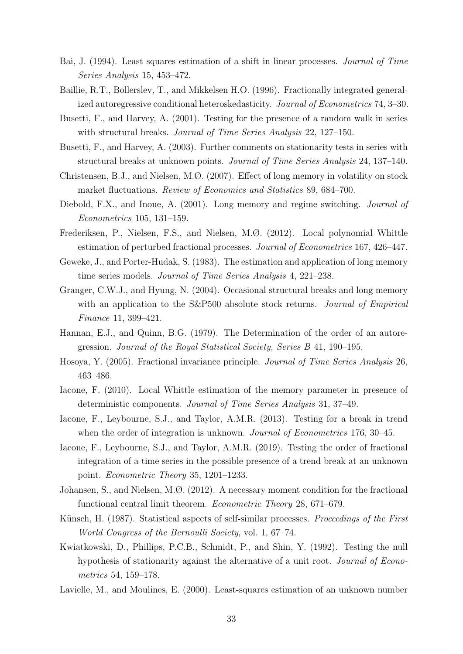- Bai, J. (1994). Least squares estimation of a shift in linear processes. Journal of Time Series Analysis 15, 453–472.
- Baillie, R.T., Bollerslev, T., and Mikkelsen H.O. (1996). Fractionally integrated generalized autoregressive conditional heteroskedasticity. Journal of Econometrics 74, 3–30.
- Busetti, F., and Harvey, A. (2001). Testing for the presence of a random walk in series with structural breaks. *Journal of Time Series Analysis* 22, 127–150.
- Busetti, F., and Harvey, A. (2003). Further comments on stationarity tests in series with structural breaks at unknown points. Journal of Time Series Analysis 24, 137–140.
- Christensen, B.J., and Nielsen, M.Ø. (2007). Effect of long memory in volatility on stock market fluctuations. Review of Economics and Statistics 89, 684–700.
- Diebold, F.X., and Inoue, A. (2001). Long memory and regime switching. *Journal of* Econometrics 105, 131–159.
- Frederiksen, P., Nielsen, F.S., and Nielsen, M.Ø. (2012). Local polynomial Whittle estimation of perturbed fractional processes. Journal of Econometrics 167, 426–447.
- Geweke, J., and Porter-Hudak, S. (1983). The estimation and application of long memory time series models. Journal of Time Series Analysis 4, 221–238.
- Granger, C.W.J., and Hyung, N. (2004). Occasional structural breaks and long memory with an application to the S&P500 absolute stock returns. *Journal of Empirical* Finance 11, 399–421.
- Hannan, E.J., and Quinn, B.G. (1979). The Determination of the order of an autoregression. Journal of the Royal Statistical Society, Series B 41, 190–195.
- Hosoya, Y. (2005). Fractional invariance principle. Journal of Time Series Analysis 26, 463–486.
- Iacone, F. (2010). Local Whittle estimation of the memory parameter in presence of deterministic components. Journal of Time Series Analysis 31, 37–49.
- Iacone, F., Leybourne, S.J., and Taylor, A.M.R. (2013). Testing for a break in trend when the order of integration is unknown. *Journal of Econometrics* 176, 30–45.
- Iacone, F., Leybourne, S.J., and Taylor, A.M.R. (2019). Testing the order of fractional integration of a time series in the possible presence of a trend break at an unknown point. Econometric Theory 35, 1201–1233.
- Johansen, S., and Nielsen, M.Ø. (2012). A necessary moment condition for the fractional functional central limit theorem. Econometric Theory 28, 671–679.
- Künsch, H. (1987). Statistical aspects of self-similar processes. *Proceedings of the First* World Congress of the Bernoulli Society, vol. 1, 67–74.
- Kwiatkowski, D., Phillips, P.C.B., Schmidt, P., and Shin, Y. (1992). Testing the null hypothesis of stationarity against the alternative of a unit root. Journal of Econometrics 54, 159–178.
- Lavielle, M., and Moulines, E. (2000). Least-squares estimation of an unknown number